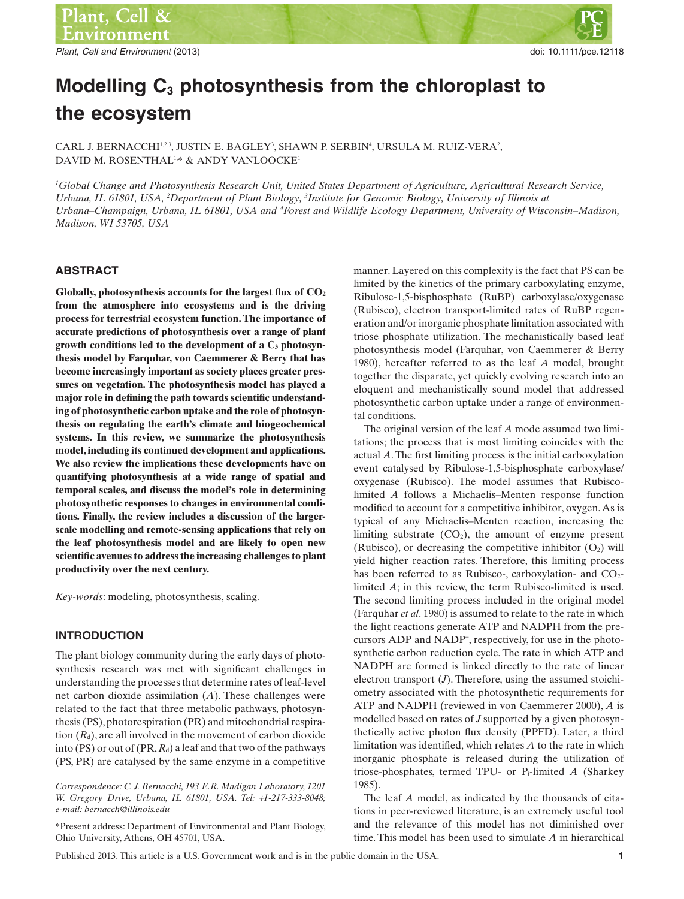Plant, Cell and Environment (2013) and the studies of the studies of the studies of the studies of the studies of the studies of the studies of the studies of the studies of the studies of the studies of the studies of the

# **Modelling C3 photosynthesis from the chloroplast to the ecosystem**

CARL J. BERNACCHI $^{1,2,3}$ , JUSTIN E. BAGLEY<sup>3</sup>, SHAWN P. SERBIN<sup>4</sup>, URSULA M. RUIZ-VERA<sup>2</sup>, DAVID M. ROSENTHAL<sup>1,\*</sup> & ANDY VANLOOCKE<sup>1</sup>

*1 Global Change and Photosynthesis Research Unit, United States Department of Agriculture, Agricultural Research Service,* Urbana, IL 61801, USA, <sup>2</sup>Department of Plant Biology, <sup>3</sup>Institute for Genomic Biology, University of Illinois at *Urbana–Champaign, Urbana, IL 61801, USA and <sup>4</sup> Forest and Wildlife Ecology Department, University of Wisconsin–Madison, Madison, WI 53705, USA*

## **ABSTRACT**

Globally, photosynthesis accounts for the largest flux of  $CO<sub>2</sub>$ **from the atmosphere into ecosystems and is the driving process for terrestrial ecosystem function. The importance of accurate predictions of photosynthesis over a range of plant growth conditions led to the development of a C3 photosynthesis model by Farquhar, von Caemmerer & Berry that has become increasingly important as society places greater pressures on vegetation. The photosynthesis model has played a major role in defining the path towards scientific understanding of photosynthetic carbon uptake and the role of photosynthesis on regulating the earth's climate and biogeochemical systems. In this review, we summarize the photosynthesis model, including its continued development and applications. We also review the implications these developments have on quantifying photosynthesis at a wide range of spatial and temporal scales, and discuss the model's role in determining photosynthetic responses to changes in environmental conditions. Finally, the review includes a discussion of the largerscale modelling and remote-sensing applications that rely on the leaf photosynthesis model and are likely to open new scientific avenues to address the increasing challenges to plant productivity over the next century.**

*Key-words*: modeling, photosynthesis, scaling.

## **INTRODUCTION**

The plant biology community during the early days of photosynthesis research was met with significant challenges in understanding the processes that determine rates of leaf-level net carbon dioxide assimilation (*A*). These challenges were related to the fact that three metabolic pathways, photosynthesis (PS), photorespiration (PR) and mitochondrial respiration  $(R_d)$ , are all involved in the movement of carbon dioxide into (PS) or out of (PR,  $R_d$ ) a leaf and that two of the pathways (PS, PR) are catalysed by the same enzyme in a competitive

*Correspondence: C. J. Bernacchi, 193 E.R. Madigan Laboratory, 1201 W. Gregory Drive, Urbana, IL 61801, USA. Tel:* +*1-217-333-8048; e-mail: bernacch@illinois.edu*

\*Present address: Department of Environmental and Plant Biology, Ohio University, Athens, OH 45701, USA.

manner. Layered on this complexity is the fact that PS can be limited by the kinetics of the primary carboxylating enzyme, Ribulose-1,5-bisphosphate (RuBP) carboxylase/oxygenase (Rubisco), electron transport-limited rates of RuBP regeneration and/or inorganic phosphate limitation associated with triose phosphate utilization. The mechanistically based leaf photosynthesis model (Farquhar, von Caemmerer & Berry 1980), hereafter referred to as the leaf *A* model, brought together the disparate, yet quickly evolving research into an eloquent and mechanistically sound model that addressed photosynthetic carbon uptake under a range of environmental conditions.

The original version of the leaf *A* mode assumed two limitations; the process that is most limiting coincides with the actual *A*. The first limiting process is the initial carboxylation event catalysed by Ribulose-1,5-bisphosphate carboxylase/ oxygenase (Rubisco). The model assumes that Rubiscolimited *A* follows a Michaelis–Menten response function modified to account for a competitive inhibitor, oxygen.As is typical of any Michaelis–Menten reaction, increasing the limiting substrate  $(CO_2)$ , the amount of enzyme present (Rubisco), or decreasing the competitive inhibitor  $(O_2)$  will yield higher reaction rates. Therefore, this limiting process has been referred to as Rubisco-, carboxylation- and  $CO<sub>2</sub>$ limited *A*; in this review, the term Rubisco-limited is used. The second limiting process included in the original model (Farquhar *et al*. 1980) is assumed to relate to the rate in which the light reactions generate ATP and NADPH from the precursors ADP and NADP<sup>+</sup> , respectively, for use in the photosynthetic carbon reduction cycle. The rate in which ATP and NADPH are formed is linked directly to the rate of linear electron transport (*J*). Therefore, using the assumed stoichiometry associated with the photosynthetic requirements for ATP and NADPH (reviewed in von Caemmerer 2000), *A* is modelled based on rates of *J* supported by a given photosynthetically active photon flux density (PPFD). Later, a third limitation was identified, which relates *A* to the rate in which inorganic phosphate is released during the utilization of triose-phosphates, termed TPU- or Pi-limited *A* (Sharkey 1985).

The leaf *A* model, as indicated by the thousands of citations in peer-reviewed literature, is an extremely useful tool and the relevance of this model has not diminished over time. This model has been used to simulate *A* in hierarchical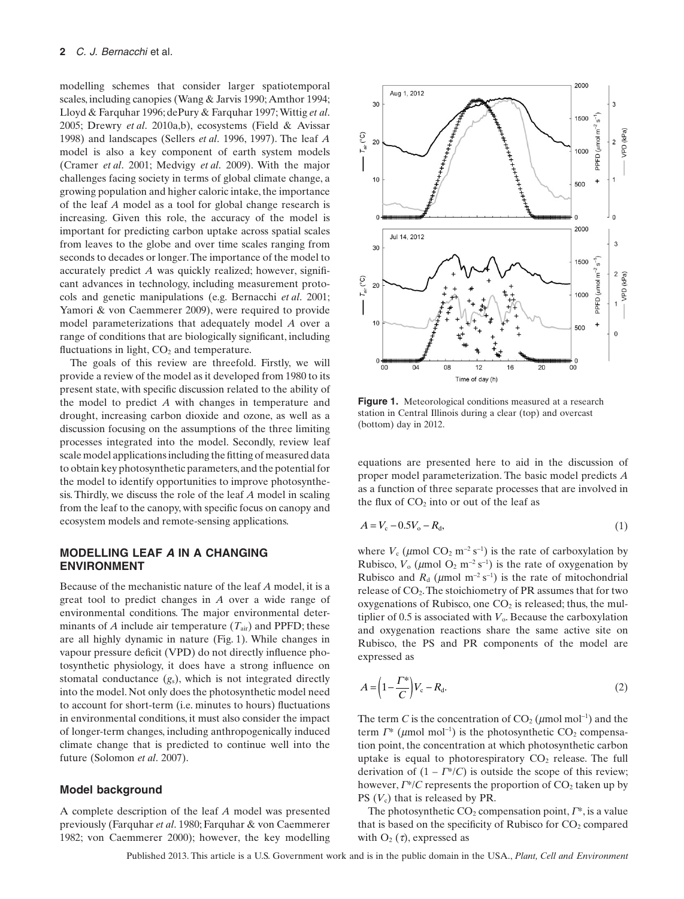modelling schemes that consider larger spatiotemporal scales, including canopies (Wang & Jarvis 1990; Amthor 1994; Lloyd & Farquhar 1996; dePury & Farquhar 1997;Wittig *et al*. 2005; Drewry *et al*. 2010a,b), ecosystems (Field & Avissar 1998) and landscapes (Sellers *et al*. 1996, 1997). The leaf *A* model is also a key component of earth system models (Cramer *et al*. 2001; Medvigy *et al*. 2009). With the major challenges facing society in terms of global climate change, a growing population and higher caloric intake, the importance of the leaf *A* model as a tool for global change research is increasing. Given this role, the accuracy of the model is important for predicting carbon uptake across spatial scales from leaves to the globe and over time scales ranging from seconds to decades or longer.The importance of the model to accurately predict *A* was quickly realized; however, significant advances in technology, including measurement protocols and genetic manipulations (e.g. Bernacchi *et al*. 2001; Yamori & von Caemmerer 2009), were required to provide model parameterizations that adequately model *A* over a range of conditions that are biologically significant, including fluctuations in light,  $CO<sub>2</sub>$  and temperature.

The goals of this review are threefold. Firstly, we will provide a review of the model as it developed from 1980 to its present state, with specific discussion related to the ability of the model to predict *A* with changes in temperature and drought, increasing carbon dioxide and ozone, as well as a discussion focusing on the assumptions of the three limiting processes integrated into the model. Secondly, review leaf scale model applications including the fitting of measured data to obtain key photosynthetic parameters, and the potential for the model to identify opportunities to improve photosynthesis. Thirdly, we discuss the role of the leaf *A* model in scaling from the leaf to the canopy, with specific focus on canopy and ecosystem models and remote-sensing applications.

## **MODELLING LEAF A IN A CHANGING ENVIRONMENT**

Because of the mechanistic nature of the leaf *A* model, it is a great tool to predict changes in *A* over a wide range of environmental conditions. The major environmental determinants of *A* include air temperature  $(T_{air})$  and PPFD; these are all highly dynamic in nature (Fig. 1). While changes in vapour pressure deficit (VPD) do not directly influence photosynthetic physiology, it does have a strong influence on stomatal conductance (*g*s), which is not integrated directly into the model. Not only does the photosynthetic model need to account for short-term (i.e. minutes to hours) fluctuations in environmental conditions, it must also consider the impact of longer-term changes, including anthropogenically induced climate change that is predicted to continue well into the future (Solomon *et al*. 2007).

#### **Model background**

A complete description of the leaf *A* model was presented previously (Farquhar *et al*. 1980; Farquhar & von Caemmerer 1982; von Caemmerer 2000); however, the key modelling



**Figure 1.** Meteorological conditions measured at a research station in Central Illinois during a clear (top) and overcast (bottom) day in 2012.

equations are presented here to aid in the discussion of proper model parameterization. The basic model predicts *A* as a function of three separate processes that are involved in the flux of  $CO<sub>2</sub>$  into or out of the leaf as

$$
A = V_c - 0.5V_o - R_d, \t\t(1)
$$

where  $V_c$  ( $\mu$ mol CO<sub>2</sub> m<sup>-2</sup> s<sup>-1</sup>) is the rate of carboxylation by Rubisco,  $V_0$  ( $\mu$ mol O<sub>2</sub> m<sup>-2</sup> s<sup>-1</sup>) is the rate of oxygenation by Rubisco and  $R_d$  ( $\mu$ mol m<sup>-2</sup> s<sup>-1</sup>) is the rate of mitochondrial release of CO2.The stoichiometry of PR assumes that for two oxygenations of Rubisco, one  $CO<sub>2</sub>$  is released; thus, the multiplier of 0.5 is associated with  $V_0$ . Because the carboxylation and oxygenation reactions share the same active site on Rubisco, the PS and PR components of the model are expressed as

$$
A = \left(1 - \frac{\Gamma^*}{C}\right) V_c - R_d. \tag{2}
$$

The term *C* is the concentration of  $CO<sub>2</sub>$  ( $\mu$ mol mol<sup>-1</sup>) and the term  $\Gamma^*$  ( $\mu$ mol mol<sup>-1</sup>) is the photosynthetic CO<sub>2</sub> compensation point, the concentration at which photosynthetic carbon uptake is equal to photorespiratory  $CO<sub>2</sub>$  release. The full derivation of  $(1 - \Gamma^*/C)$  is outside the scope of this review; however,  $\Gamma^*/C$  represents the proportion of CO<sub>2</sub> taken up by PS ( $V_c$ ) that is released by PR.

The photosynthetic  $CO_2$  compensation point,  $\Gamma^*$ , is a value that is based on the specificity of Rubisco for  $CO<sub>2</sub>$  compared with  $O_2(\tau)$ , expressed as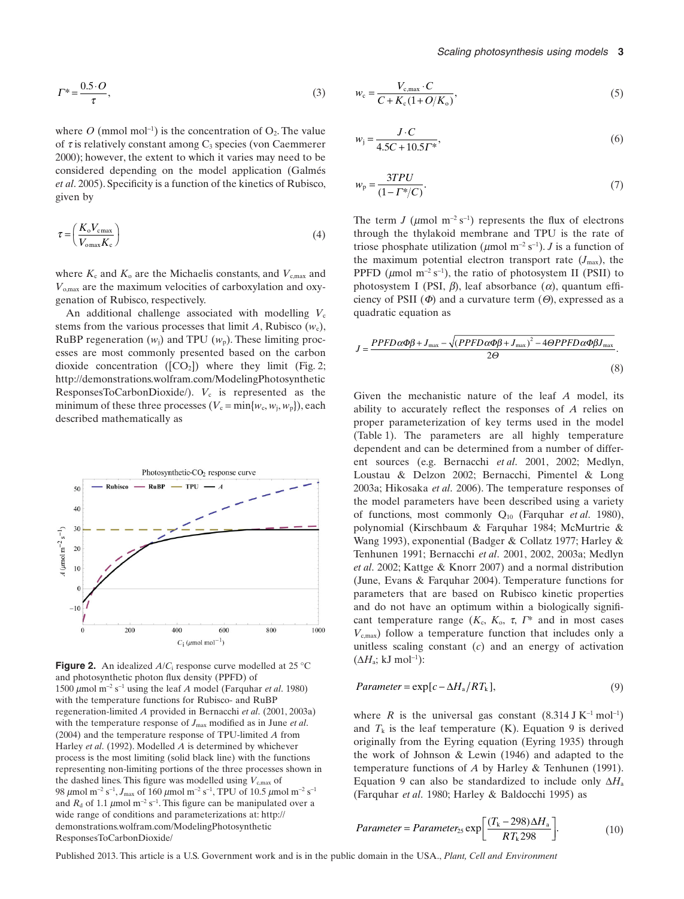$$
\Gamma^* = \frac{0.5 \cdot O}{\tau},\tag{3}
$$

where  $O$  (mmol mol<sup>-1</sup>) is the concentration of  $O_2$ . The value of  $\tau$  is relatively constant among  $C_3$  species (von Caemmerer 2000); however, the extent to which it varies may need to be considered depending on the model application (Galmés *et al*. 2005). Specificity is a function of the kinetics of Rubisco, given by

$$
\tau = \left(\frac{K_{\rm o} V_{\rm cmax}}{V_{\rm omax} K_{\rm c}}\right) \tag{4}
$$

where  $K_c$  and  $K_o$  are the Michaelis constants, and  $V_{c,max}$  and *V*o,max are the maximum velocities of carboxylation and oxygenation of Rubisco, respectively.

An additional challenge associated with modelling  $V_c$ stems from the various processes that limit A, Rubisco  $(w_c)$ , RuBP regeneration  $(w_i)$  and TPU  $(w_p)$ . These limiting processes are most commonly presented based on the carbon dioxide concentration ( $[CO<sub>2</sub>]$ ) where they limit (Fig. 2; http://demonstrations.wolfram.com/ModelingPhotosynthetic ResponsesToCarbonDioxide/).  $V_c$  is represented as the minimum of these three processes  $(V_c = \min\{w_c, w_i, w_p\})$ , each described mathematically as



**Figure 2.** An idealized *A/C*<sub>i</sub> response curve modelled at 25 °C and photosynthetic photon flux density (PPFD) of 1500  $\mu$ mol m<sup>-2</sup> s<sup>-1</sup> using the leaf *A* model (Farquhar *et al.* 1980) with the temperature functions for Rubisco- and RuBP regeneration-limited *A* provided in Bernacchi *et al*. (2001, 2003a) with the temperature response of  $J_{\text{max}}$  modified as in June *et al.* (2004) and the temperature response of TPU-limited *A* from Harley *et al*. (1992). Modelled *A* is determined by whichever process is the most limiting (solid black line) with the functions representing non-limiting portions of the three processes shown in the dashed lines. This figure was modelled using  $V_{c,max}$  of 98  $\mu$ mol m<sup>-2</sup> s<sup>-1</sup>,  $J_{\text{max}}$  of 160  $\mu$ mol m<sup>-2</sup> s<sup>-1</sup>, TPU of 10.5  $\mu$ mol m<sup>-2</sup> s<sup>-1</sup> and  $R_d$  of 1.1  $\mu$ mol m<sup>-2</sup> s<sup>-1</sup>. This figure can be manipulated over a wide range of conditions and parameterizations at: http:// demonstrations.wolfram.com/ModelingPhotosynthetic ResponsesToCarbonDioxide/

$$
w_{\rm c} = \frac{V_{\rm c,max} \cdot C}{C + K_{\rm c} (1 + O/K_{\rm o})},\tag{5}
$$

$$
w_{j} = \frac{J \cdot C}{4.5C + 10.5T^{*}},
$$
\n(6)

$$
w_{\rm p} = \frac{3TPU}{(1 - \Gamma^*/C)}.\tag{7}
$$

The term *J* ( $\mu$ mol m<sup>-2</sup> s<sup>-1</sup>) represents the flux of electrons through the thylakoid membrane and TPU is the rate of triose phosphate utilization ( $\mu$ mol m<sup>-2</sup> s<sup>-1</sup>). *J* is a function of the maximum potential electron transport rate  $(J_{\text{max}})$ , the PPFD ( $\mu$ mol m<sup>-2</sup> s<sup>-1</sup>), the ratio of photosystem II (PSII) to photosystem I (PSI,  $\beta$ ), leaf absorbance  $(\alpha)$ , quantum efficiency of PSII  $(\Phi)$  and a curvature term  $(\Theta)$ , expressed as a quadratic equation as

$$
J = \frac{PPFD\alpha\Phi\beta + J_{\text{max}} - \sqrt{(PPFD\alpha\Phi\beta + J_{\text{max}})^2 - 4\Theta PPFD\alpha\Phi\beta J_{\text{max}}}}{2\Theta}.
$$
\n(8)

Given the mechanistic nature of the leaf *A* model, its ability to accurately reflect the responses of *A* relies on proper parameterization of key terms used in the model (Table 1). The parameters are all highly temperature dependent and can be determined from a number of different sources (e.g. Bernacchi *et al*. 2001, 2002; Medlyn, Loustau & Delzon 2002; Bernacchi, Pimentel & Long 2003a; Hikosaka *et al*. 2006). The temperature responses of the model parameters have been described using a variety of functions, most commonly Q10 (Farquhar *et al*. 1980), polynomial (Kirschbaum & Farquhar 1984; McMurtrie & Wang 1993), exponential (Badger & Collatz 1977; Harley & Tenhunen 1991; Bernacchi *et al*. 2001, 2002, 2003a; Medlyn *et al*. 2002; Kattge & Knorr 2007) and a normal distribution (June, Evans & Farquhar 2004). Temperature functions for parameters that are based on Rubisco kinetic properties and do not have an optimum within a biologically significant temperature range  $(K_c, K_o, \tau, \Gamma^*)$  and in most cases *V*c,max) follow a temperature function that includes only a unitless scaling constant (*c*) and an energy of activation  $(\Delta H_a; \mathrm{kJ\ mol}^{-1})$ :

$$
Parameter = \exp[c - \Delta H_a / RT_k], \qquad (9)
$$

where *R* is the universal gas constant  $(8.314 \text{ J K}^{-1} \text{ mol}^{-1})$ and  $T_k$  is the leaf temperature (K). Equation 9 is derived originally from the Eyring equation (Eyring 1935) through the work of Johnson & Lewin (1946) and adapted to the temperature functions of *A* by Harley & Tenhunen (1991). Equation 9 can also be standardized to include only  $\Delta H_a$ (Farquhar *et al*. 1980; Harley & Baldocchi 1995) as

$$
Parameter = Parameter_{25} \exp\left[\frac{(T_{k} - 298)\Delta H_{a}}{RT_{k} 298}\right].
$$
 (10)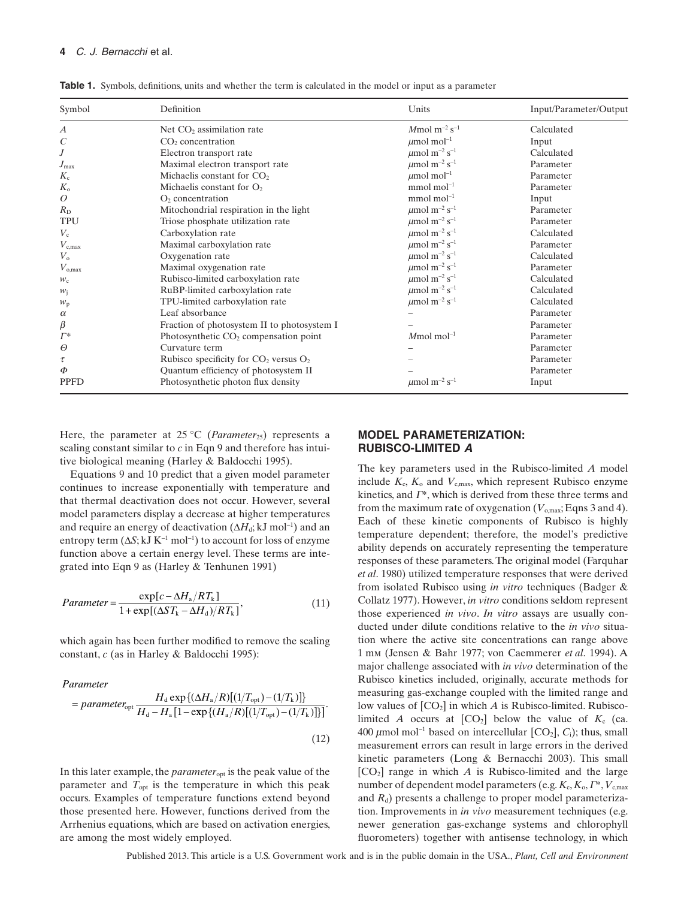| Symbol           | Definition                                  | Units                                     | Input/Parameter/Output |
|------------------|---------------------------------------------|-------------------------------------------|------------------------|
| $\boldsymbol{A}$ | Net $CO2$ assimilation rate                 | $M$ mol m <sup>-2</sup> s <sup>-1</sup>   | Calculated             |
| $\,C$            | CO <sub>2</sub> concentration               | $\mu$ mol mol <sup>-1</sup>               | Input                  |
| $\boldsymbol{J}$ | Electron transport rate                     | $\mu$ mol m <sup>-2</sup> s <sup>-1</sup> | Calculated             |
| $J_{\rm max}$    | Maximal electron transport rate             | $\mu$ mol m <sup>-2</sup> s <sup>-1</sup> | Parameter              |
| $K_{c}$          | Michaelis constant for $CO2$                | $\mu$ mol mol <sup>-1</sup>               | Parameter              |
| $K_{\rm o}$      | Michaelis constant for $O2$                 | mmol mol $^{-1}$                          | Parameter              |
| 0                | O <sub>2</sub> concentration                | $mmol$ mol <sup>-1</sup>                  | Input                  |
| $R_{\rm D}$      | Mitochondrial respiration in the light      | $\mu$ mol m <sup>-2</sup> s <sup>-1</sup> | Parameter              |
| <b>TPU</b>       | Triose phosphate utilization rate           | $\mu$ mol m <sup>-2</sup> s <sup>-1</sup> | Parameter              |
| $V_c$            | Carboxylation rate                          | $\mu$ mol m <sup>-2</sup> s <sup>-1</sup> | Calculated             |
| $V_{\rm c,max}$  | Maximal carboxylation rate                  | $\mu$ mol m <sup>-2</sup> s <sup>-1</sup> | Parameter              |
| $V_{\rm o}$      | Oxygenation rate                            | $\mu$ mol m <sup>-2</sup> s <sup>-1</sup> | Calculated             |
| $V_{\rm o,max}$  | Maximal oxygenation rate                    | $\mu$ mol m <sup>-2</sup> s <sup>-1</sup> | Parameter              |
| $W_{\rm C}$      | Rubisco-limited carboxylation rate          | $\mu$ mol m <sup>-2</sup> s <sup>-1</sup> | Calculated             |
| $W_i$            | RuBP-limited carboxylation rate             | $\mu$ mol m <sup>-2</sup> s <sup>-1</sup> | Calculated             |
| $W_{\rm p}$      | TPU-limited carboxylation rate              | $\mu$ mol m <sup>-2</sup> s <sup>-1</sup> | Calculated             |
| $\alpha$         | Leaf absorbance                             |                                           | Parameter              |
| $\beta$          | Fraction of photosystem II to photosystem I |                                           | Parameter              |
| $\Gamma^*$       | Photosynthetic $CO2$ compensation point     | $M$ mol mol <sup>-1</sup>                 | Parameter              |
| $\Theta$         | Curvature term                              |                                           | Parameter              |
| $\tau$           | Rubisco specificity for $CO2$ versus $O2$   |                                           | Parameter              |
| $\Phi$           | Quantum efficiency of photosystem II        |                                           | Parameter              |
| <b>PPFD</b>      | Photosynthetic photon flux density          | $\mu$ mol m <sup>-2</sup> s <sup>-1</sup> | Input                  |

**Table 1.** Symbols, definitions, units and whether the term is calculated in the model or input as a parameter

Here, the parameter at  $25^{\circ}$ C (*Parameter*<sub>25</sub>) represents a scaling constant similar to *c* in Eqn 9 and therefore has intuitive biological meaning (Harley & Baldocchi 1995).

Equations 9 and 10 predict that a given model parameter continues to increase exponentially with temperature and that thermal deactivation does not occur. However, several model parameters display a decrease at higher temperatures and require an energy of deactivation  $(\Delta H_d; kJ \text{ mol}^{-1})$  and an entropy term  $(\Delta S; kJ K^{-1} \text{ mol}^{-1})$  to account for loss of enzyme function above a certain energy level. These terms are integrated into Eqn 9 as (Harley & Tenhunen 1991)

$$
Parameter = \frac{\exp[c - \Delta H_a / RT_k]}{1 + \exp[(\Delta S T_k - \Delta H_d) / RT_k]},
$$
\n(11)

which again has been further modified to remove the scaling constant, *c* (as in Harley & Baldocchi 1995):

#### *Parameter*

$$
= parameter_{\text{opt}} \frac{H_{\text{d}} \exp\{(\Delta H_{\text{a}}/R)[(1/T_{\text{opt}}) - (1/T_{\text{k}})]\}}{H_{\text{d}} - H_{\text{a}} [1 - \exp\{(H_{\text{a}}/R)[(1/T_{\text{opt}}) - (1/T_{\text{k}})]\}]}
$$
\n(12)

In this later example, the *parameter*opt is the peak value of the parameter and  $T_{\text{opt}}$  is the temperature in which this peak occurs. Examples of temperature functions extend beyond those presented here. However, functions derived from the Arrhenius equations, which are based on activation energies, are among the most widely employed.

## **MODEL PARAMETERIZATION: RUBISCO-LIMITED A**

The key parameters used in the Rubisco-limited *A* model include  $K_c$ ,  $K_o$  and  $V_{c,max}$ , which represent Rubisco enzyme kinetics, and  $\Gamma^*$ , which is derived from these three terms and from the maximum rate of oxygenation  $(V_{\text{onax}};$  Eqns 3 and 4). Each of these kinetic components of Rubisco is highly temperature dependent; therefore, the model's predictive ability depends on accurately representing the temperature responses of these parameters. The original model (Farquhar *et al*. 1980) utilized temperature responses that were derived from isolated Rubisco using *in vitro* techniques (Badger & Collatz 1977). However, *in vitro* conditions seldom represent those experienced *in vivo*. *In vitro* assays are usually conducted under dilute conditions relative to the *in vivo* situation where the active site concentrations can range above 1 mm (Jensen & Bahr 1977; von Caemmerer *et al*. 1994). A major challenge associated with *in vivo* determination of the Rubisco kinetics included, originally, accurate methods for measuring gas-exchange coupled with the limited range and low values of  $[CO_2]$  in which *A* is Rubisco-limited. Rubiscolimited *A* occurs at  $[CO_2]$  below the value of  $K_c$  (ca. 400  $\mu$ mol mol<sup>-1</sup> based on intercellular [CO<sub>2</sub>], C<sub>i</sub>); thus, small measurement errors can result in large errors in the derived kinetic parameters (Long & Bernacchi 2003). This small  $[CO<sub>2</sub>]$  range in which *A* is Rubisco-limited and the large number of dependent model parameters (e.g.  $K_c, K_o, \Gamma^*, V_{c,max}$ and *R*d) presents a challenge to proper model parameterization. Improvements in *in vivo* measurement techniques (e.g. newer generation gas-exchange systems and chlorophyll fluorometers) together with antisense technology, in which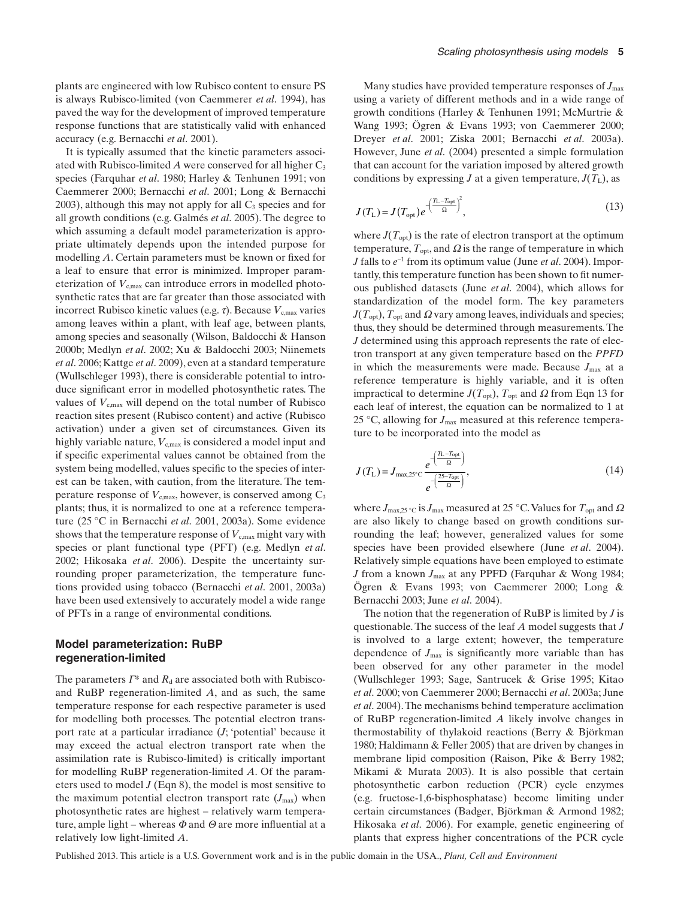plants are engineered with low Rubisco content to ensure PS is always Rubisco-limited (von Caemmerer *et al*. 1994), has paved the way for the development of improved temperature response functions that are statistically valid with enhanced accuracy (e.g. Bernacchi *et al*. 2001).

It is typically assumed that the kinetic parameters associated with Rubisco-limited  $A$  were conserved for all higher  $C_3$ species (Farquhar *et al*. 1980; Harley & Tenhunen 1991; von Caemmerer 2000; Bernacchi *et al*. 2001; Long & Bernacchi  $2003$ ), although this may not apply for all  $C_3$  species and for all growth conditions (e.g. Galmés *et al*. 2005). The degree to which assuming a default model parameterization is appropriate ultimately depends upon the intended purpose for modelling *A*. Certain parameters must be known or fixed for a leaf to ensure that error is minimized. Improper parameterization of  $V_{\text{c,max}}$  can introduce errors in modelled photosynthetic rates that are far greater than those associated with incorrect Rubisco kinetic values (e.g.  $\tau$ ). Because  $V_{c,max}$  varies among leaves within a plant, with leaf age, between plants, among species and seasonally (Wilson, Baldocchi & Hanson 2000b; Medlyn *et al*. 2002; Xu & Baldocchi 2003; Niinemets *et al*. 2006; Kattge *et al*. 2009), even at a standard temperature (Wullschleger 1993), there is considerable potential to introduce significant error in modelled photosynthetic rates. The values of  $V_{c,max}$  will depend on the total number of Rubisco reaction sites present (Rubisco content) and active (Rubisco activation) under a given set of circumstances. Given its highly variable nature,  $V_{c,max}$  is considered a model input and if specific experimental values cannot be obtained from the system being modelled, values specific to the species of interest can be taken, with caution, from the literature. The temperature response of  $V_{c,max}$ , however, is conserved among C<sub>3</sub> plants; thus, it is normalized to one at a reference temperature (25 °C in Bernacchi *et al*. 2001, 2003a). Some evidence shows that the temperature response of  $V_{c,max}$  might vary with species or plant functional type (PFT) (e.g. Medlyn *et al*. 2002; Hikosaka *et al*. 2006). Despite the uncertainty surrounding proper parameterization, the temperature functions provided using tobacco (Bernacchi *et al*. 2001, 2003a) have been used extensively to accurately model a wide range of PFTs in a range of environmental conditions.

## **Model parameterization: RuBP regeneration-limited**

The parameters  $\Gamma^*$  and  $R_d$  are associated both with Rubiscoand RuBP regeneration-limited *A*, and as such, the same temperature response for each respective parameter is used for modelling both processes. The potential electron transport rate at a particular irradiance (*J*; 'potential' because it may exceed the actual electron transport rate when the assimilation rate is Rubisco-limited) is critically important for modelling RuBP regeneration-limited *A*. Of the parameters used to model *J* (Eqn 8), the model is most sensitive to the maximum potential electron transport rate  $(J_{\text{max}})$  when photosynthetic rates are highest – relatively warm temperature, ample light – whereas  $\Phi$  and  $\Theta$  are more influential at a relatively low light-limited *A*.

Many studies have provided temperature responses of *J*max using a variety of different methods and in a wide range of growth conditions (Harley & Tenhunen 1991; McMurtrie & Wang 1993; Ögren & Evans 1993; von Caemmerer 2000; Dreyer *et al*. 2001; Ziska 2001; Bernacchi *et al*. 2003a). However, June *et al*. (2004) presented a simple formulation that can account for the variation imposed by altered growth conditions by expressing *J* at a given temperature,  $J(T_L)$ , as

$$
J(T_{\rm L}) = J(T_{\rm opt})e^{-\left(\frac{T_{\rm L}-T_{\rm opt}}{\Omega}\right)^2},\tag{13}
$$

where  $J(T_{opt})$  is the rate of electron transport at the optimum temperature,  $T_{opt}$ , and  $\Omega$  is the range of temperature in which *J* falls to *e*-<sup>1</sup> from its optimum value (June *et al*. 2004). Importantly, this temperature function has been shown to fit numerous published datasets (June *et al*. 2004), which allows for standardization of the model form. The key parameters  $J(T_{\text{opt}})$ ,  $T_{\text{opt}}$  and  $\Omega$  vary among leaves, individuals and species; thus, they should be determined through measurements. The *J* determined using this approach represents the rate of electron transport at any given temperature based on the *PPFD* in which the measurements were made. Because  $J_{\text{max}}$  at a reference temperature is highly variable, and it is often impractical to determine  $J(T_{\text{opt}})$ ,  $T_{\text{opt}}$  and  $\Omega$  from Eqn 13 for each leaf of interest, the equation can be normalized to 1 at 25 °C, allowing for  $J_{\text{max}}$  measured at this reference temperature to be incorporated into the model as

$$
J(T_{\rm L}) = J_{\rm max, 25^{\circ}C} \frac{e^{-\left(\frac{T_{\rm L} - T_{\rm opt}}{\Omega}\right)}}{e^{-\left(\frac{25 - T_{\rm opt}}{\Omega}\right)}},\tag{14}
$$

where  $J_{\text{max},25}$  °C is  $J_{\text{max}}$  measured at 25 °C. Values for  $T_{\text{opt}}$  and  $\Omega$ are also likely to change based on growth conditions surrounding the leaf; however, generalized values for some species have been provided elsewhere (June *et al*. 2004). Relatively simple equations have been employed to estimate *J* from a known *J*max at any PPFD (Farquhar & Wong 1984; Ögren & Evans 1993; von Caemmerer 2000; Long & Bernacchi 2003; June *et al*. 2004).

The notion that the regeneration of RuBP is limited by *J* is questionable. The success of the leaf *A* model suggests that *J* is involved to a large extent; however, the temperature dependence of *J*max is significantly more variable than has been observed for any other parameter in the model (Wullschleger 1993; Sage, Santrucek & Grise 1995; Kitao *et al*. 2000; von Caemmerer 2000; Bernacchi *et al*. 2003a; June *et al*. 2004).The mechanisms behind temperature acclimation of RuBP regeneration-limited *A* likely involve changes in thermostability of thylakoid reactions (Berry & Björkman 1980; Haldimann & Feller 2005) that are driven by changes in membrane lipid composition (Raison, Pike & Berry 1982; Mikami & Murata 2003). It is also possible that certain photosynthetic carbon reduction (PCR) cycle enzymes (e.g. fructose-1,6-bisphosphatase) become limiting under certain circumstances (Badger, Björkman & Armond 1982; Hikosaka *et al*. 2006). For example, genetic engineering of plants that express higher concentrations of the PCR cycle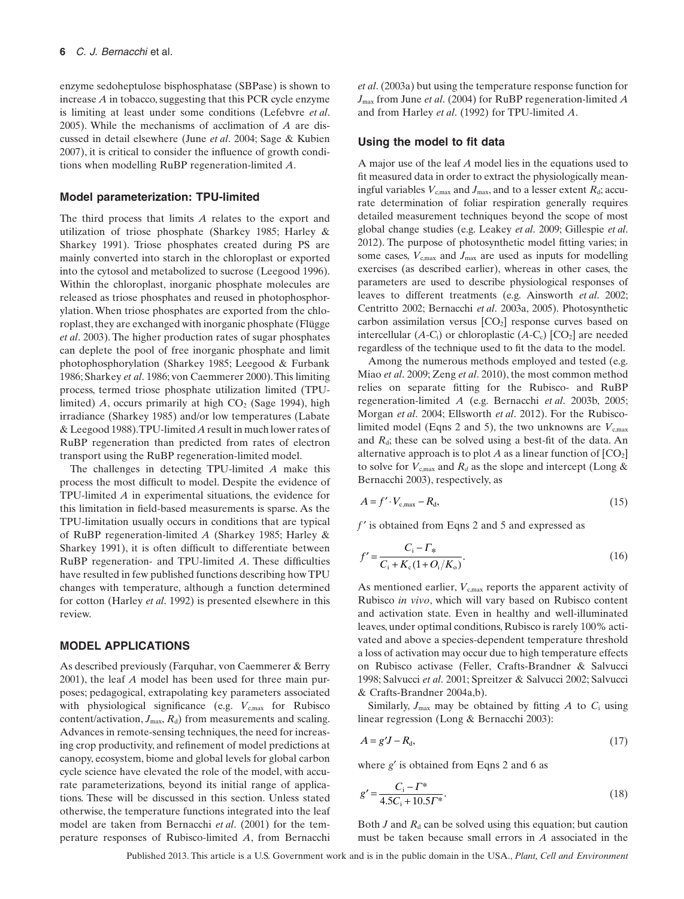enzyme sedoheptulose bisphosphatase (SBPase) is shown to increase *A* in tobacco, suggesting that this PCR cycle enzyme is limiting at least under some conditions (Lefebvre *et al*. 2005). While the mechanisms of acclimation of *A* are discussed in detail elsewhere (June *et al*. 2004; Sage & Kubien 2007), it is critical to consider the influence of growth conditions when modelling RuBP regeneration-limited *A*.

#### **Model parameterization: TPU-limited**

The third process that limits *A* relates to the export and utilization of triose phosphate (Sharkey 1985; Harley & Sharkey 1991). Triose phosphates created during PS are mainly converted into starch in the chloroplast or exported into the cytosol and metabolized to sucrose (Leegood 1996). Within the chloroplast, inorganic phosphate molecules are released as triose phosphates and reused in photophosphorylation.When triose phosphates are exported from the chloroplast, they are exchanged with inorganic phosphate (Flügge *et al*. 2003). The higher production rates of sugar phosphates can deplete the pool of free inorganic phosphate and limit photophosphorylation (Sharkey 1985; Leegood & Furbank 1986; Sharkey *et al*. 1986; von Caemmerer 2000).This limiting process, termed triose phosphate utilization limited (TPUlimited)  $A$ , occurs primarily at high  $CO<sub>2</sub>$  (Sage 1994), high irradiance (Sharkey 1985) and/or low temperatures (Labate & Leegood 1988).TPU-limited *A* result in much lower rates of RuBP regeneration than predicted from rates of electron transport using the RuBP regeneration-limited model.

The challenges in detecting TPU-limited *A* make this process the most difficult to model. Despite the evidence of TPU-limited *A* in experimental situations, the evidence for this limitation in field-based measurements is sparse. As the TPU-limitation usually occurs in conditions that are typical of RuBP regeneration-limited *A* (Sharkey 1985; Harley & Sharkey 1991), it is often difficult to differentiate between RuBP regeneration- and TPU-limited *A*. These difficulties have resulted in few published functions describing how TPU changes with temperature, although a function determined for cotton (Harley *et al*. 1992) is presented elsewhere in this review.

#### **MODEL APPLICATIONS**

As described previously (Farquhar, von Caemmerer & Berry 2001), the leaf *A* model has been used for three main purposes; pedagogical, extrapolating key parameters associated with physiological significance (e.g.  $V_{c,max}$  for Rubisco content/activation,  $J_{\text{max}}$ ,  $R_d$ ) from measurements and scaling. Advances in remote-sensing techniques, the need for increasing crop productivity, and refinement of model predictions at canopy, ecosystem, biome and global levels for global carbon cycle science have elevated the role of the model, with accurate parameterizations, beyond its initial range of applications. These will be discussed in this section. Unless stated otherwise, the temperature functions integrated into the leaf model are taken from Bernacchi *et al*. (2001) for the temperature responses of Rubisco-limited *A*, from Bernacchi *et al*. (2003a) but using the temperature response function for *J*max from June *et al*. (2004) for RuBP regeneration-limited *A* and from Harley *et al*. (1992) for TPU-limited *A*.

#### **Using the model to fit data**

A major use of the leaf *A* model lies in the equations used to fit measured data in order to extract the physiologically meaningful variables  $V_{c,max}$  and  $J_{max}$ , and to a lesser extent  $R_d$ ; accurate determination of foliar respiration generally requires detailed measurement techniques beyond the scope of most global change studies (e.g. Leakey *et al*. 2009; Gillespie *et al*. 2012). The purpose of photosynthetic model fitting varies; in some cases,  $V_{\text{c,max}}$  and  $J_{\text{max}}$  are used as inputs for modelling exercises (as described earlier), whereas in other cases, the parameters are used to describe physiological responses of leaves to different treatments (e.g. Ainsworth *et al*. 2002; Centritto 2002; Bernacchi *et al*. 2003a, 2005). Photosynthetic carbon assimilation versus  $[CO<sub>2</sub>]$  response curves based on intercellular  $(A-C_i)$  or chloroplastic  $(A-C_c)$   $[CO_2]$  are needed regardless of the technique used to fit the data to the model.

Among the numerous methods employed and tested (e.g. Miao *et al*. 2009; Zeng *et al*. 2010), the most common method relies on separate fitting for the Rubisco- and RuBP regeneration-limited *A* (e.g. Bernacchi *et al*. 2003b, 2005; Morgan *et al*. 2004; Ellsworth *et al*. 2012). For the Rubiscolimited model (Eqns 2 and 5), the two unknowns are  $V_{\text{cmax}}$ and  $R_d$ ; these can be solved using a best-fit of the data. An alternative approach is to plot *A* as a linear function of  $[CO<sub>2</sub>]$ to solve for  $V_{\text{c,max}}$  and  $R_d$  as the slope and intercept (Long  $\&$ Bernacchi 2003), respectively, as

$$
A = f' \cdot V_{c,max} - R_d,\tag{15}
$$

*f* ′ is obtained from Eqns 2 and 5 and expressed as

$$
f' = \frac{C_i - \Gamma_*}{C_i + K_c (1 + O_i/K_o)}.
$$
\n(16)

As mentioned earlier,  $V_{\text{c,max}}$  reports the apparent activity of Rubisco *in vivo*, which will vary based on Rubisco content and activation state. Even in healthy and well-illuminated leaves, under optimal conditions, Rubisco is rarely 100% activated and above a species-dependent temperature threshold a loss of activation may occur due to high temperature effects on Rubisco activase (Feller, Crafts-Brandner & Salvucci 1998; Salvucci *et al*. 2001; Spreitzer & Salvucci 2002; Salvucci & Crafts-Brandner 2004a,b).

Similarly,  $J_{\text{max}}$  may be obtained by fitting  $A$  to  $C_i$  using linear regression (Long & Bernacchi 2003):

$$
A = g'J - R_d,\tag{17}
$$

where *g*′ is obtained from Eqns 2 and 6 as

$$
g' = \frac{C_i - \Gamma^*}{4.5C_i + 10.5\Gamma^*}.
$$
\n(18)

Both  $J$  and  $R_d$  can be solved using this equation; but caution must be taken because small errors in *A* associated in the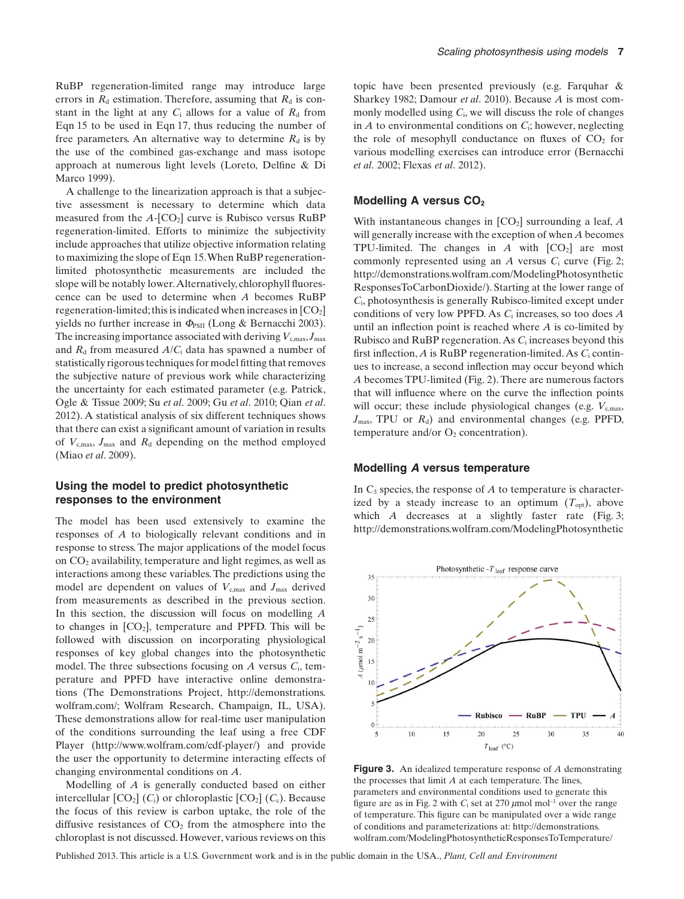RuBP regeneration-limited range may introduce large errors in  $R_d$  estimation. Therefore, assuming that  $R_d$  is constant in the light at any  $C_i$  allows for a value of  $R_d$  from Eqn 15 to be used in Eqn 17, thus reducing the number of free parameters. An alternative way to determine  $R_d$  is by the use of the combined gas-exchange and mass isotope approach at numerous light levels (Loreto, Delfine & Di Marco 1999).

A challenge to the linearization approach is that a subjective assessment is necessary to determine which data measured from the  $A$ - $[CO_2]$  curve is Rubisco versus RuBP regeneration-limited. Efforts to minimize the subjectivity include approaches that utilize objective information relating to maximizing the slope of Eqn 15.When RuBP regenerationlimited photosynthetic measurements are included the slope will be notably lower.Alternatively, chlorophyll fluorescence can be used to determine when *A* becomes RuBP regeneration-limited; this is indicated when increases in  $[CO<sub>2</sub>]$ yields no further increase in  $\Phi_{PSII}$  (Long & Bernacchi 2003). The increasing importance associated with deriving  $V_{c,max}$ ,  $J_{max}$ and  $R_d$  from measured  $A/C_i$  data has spawned a number of statistically rigorous techniques for model fitting that removes the subjective nature of previous work while characterizing the uncertainty for each estimated parameter (e.g. Patrick, Ogle & Tissue 2009; Su *et al*. 2009; Gu *et al*. 2010; Qian *et al*. 2012). A statistical analysis of six different techniques shows that there can exist a significant amount of variation in results of  $V_{\text{c,max}}$ ,  $J_{\text{max}}$  and  $R_{\text{d}}$  depending on the method employed (Miao *et al*. 2009).

## **Using the model to predict photosynthetic responses to the environment**

The model has been used extensively to examine the responses of *A* to biologically relevant conditions and in response to stress. The major applications of the model focus on  $CO<sub>2</sub>$  availability, temperature and light regimes, as well as interactions among these variables. The predictions using the model are dependent on values of  $V_{c,max}$  and  $J_{max}$  derived from measurements as described in the previous section. In this section, the discussion will focus on modelling *A* to changes in  $[CO_2]$ , temperature and PPFD. This will be followed with discussion on incorporating physiological responses of key global changes into the photosynthetic model. The three subsections focusing on *A* versus *C*i, temperature and PPFD have interactive online demonstrations (The Demonstrations Project, http://demonstrations. wolfram.com/; Wolfram Research, Champaign, IL, USA). These demonstrations allow for real-time user manipulation of the conditions surrounding the leaf using a free CDF Player (http://www.wolfram.com/cdf-player/) and provide the user the opportunity to determine interacting effects of changing environmental conditions on *A*.

Modelling of *A* is generally conducted based on either intercellular  $[CO_2]$  ( $C_i$ ) or chloroplastic  $[CO_2]$  ( $C_c$ ). Because the focus of this review is carbon uptake, the role of the diffusive resistances of  $CO<sub>2</sub>$  from the atmosphere into the chloroplast is not discussed. However, various reviews on this

topic have been presented previously (e.g. Farquhar & Sharkey 1982; Damour *et al*. 2010). Because *A* is most commonly modelled using *C*i, we will discuss the role of changes in *A* to environmental conditions on *C*i; however, neglecting the role of mesophyll conductance on fluxes of  $CO<sub>2</sub>$  for various modelling exercises can introduce error (Bernacchi *et al*. 2002; Flexas *et al*. 2012).

## **Modelling A versus CO2**

With instantaneous changes in  $[CO<sub>2</sub>]$  surrounding a leaf, *A* will generally increase with the exception of when *A* becomes TPU-limited. The changes in  $A$  with  $[CO_2]$  are most commonly represented using an *A* versus *C*<sup>i</sup> curve (Fig. 2; http://demonstrations.wolfram.com/ModelingPhotosynthetic ResponsesToCarbonDioxide/). Starting at the lower range of *C*i, photosynthesis is generally Rubisco-limited except under conditions of very low PPFD. As *C*<sup>i</sup> increases, so too does *A* until an inflection point is reached where *A* is co-limited by Rubisco and RuBP regeneration.As *C*<sup>i</sup> increases beyond this first inflection, *A* is RuBP regeneration-limited.As *C*<sup>i</sup> continues to increase, a second inflection may occur beyond which *A* becomes TPU-limited (Fig. 2). There are numerous factors that will influence where on the curve the inflection points will occur; these include physiological changes (e.g.  $V_{\text{c,max}}$ ,  $J_{\text{max}}$ , TPU or  $R_d$ ) and environmental changes (e.g. PPFD, temperature and/or  $O_2$  concentration).

#### **Modelling A versus temperature**

In  $C_3$  species, the response of  $A$  to temperature is characterized by a steady increase to an optimum  $(T_{opt})$ , above which *A* decreases at a slightly faster rate (Fig. 3; http://demonstrations.wolfram.com/ModelingPhotosynthetic



**Figure 3.** An idealized temperature response of *A* demonstrating the processes that limit *A* at each temperature. The lines, parameters and environmental conditions used to generate this figure are as in Fig. 2 with  $C_i$  set at 270  $\mu$ mol mol<sup>-1</sup> over the range of temperature. This figure can be manipulated over a wide range of conditions and parameterizations at: http://demonstrations. wolfram.com/ModelingPhotosyntheticResponsesToTemperature/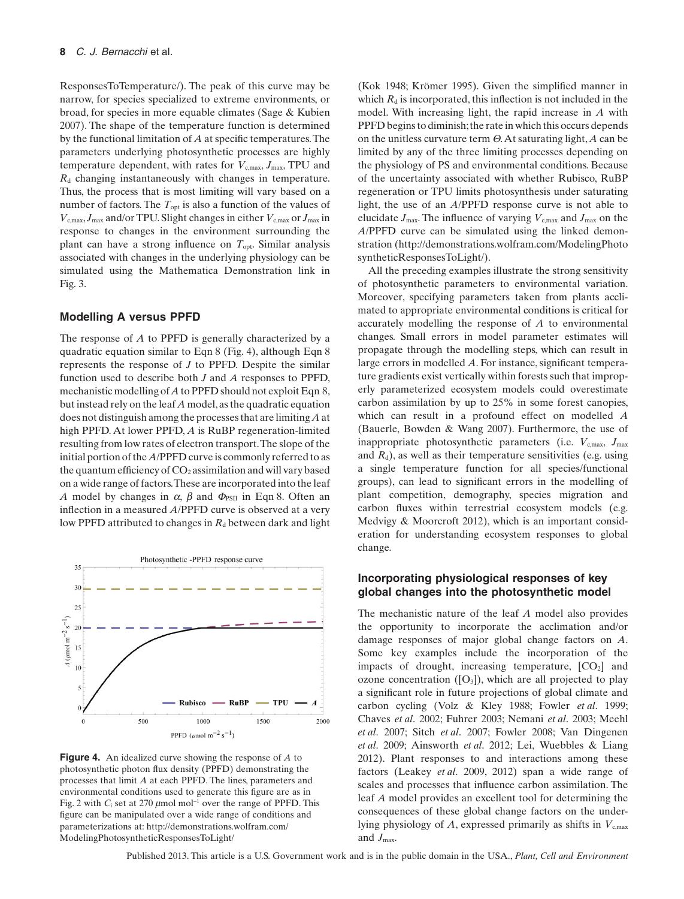ResponsesToTemperature/). The peak of this curve may be narrow, for species specialized to extreme environments, or broad, for species in more equable climates (Sage & Kubien 2007). The shape of the temperature function is determined by the functional limitation of *A* at specific temperatures.The parameters underlying photosynthetic processes are highly temperature dependent, with rates for  $V_{c,max}$ ,  $J_{max}$ , TPU and *R*<sup>d</sup> changing instantaneously with changes in temperature. Thus, the process that is most limiting will vary based on a number of factors. The  $T_{opt}$  is also a function of the values of  $V_{\text{c,max}}$ ,  $J_{\text{max}}$  and/or TPU. Slight changes in either  $V_{\text{c,max}}$  or  $J_{\text{max}}$  in response to changes in the environment surrounding the plant can have a strong influence on  $T_{opt}$ . Similar analysis associated with changes in the underlying physiology can be simulated using the Mathematica Demonstration link in Fig. 3.

#### **Modelling A versus PPFD**

The response of *A* to PPFD is generally characterized by a quadratic equation similar to Eqn 8 (Fig. 4), although Eqn 8 represents the response of *J* to PPFD. Despite the similar function used to describe both *J* and *A* responses to PPFD, mechanistic modelling of*A*to PPFD should not exploit Eqn 8, but instead rely on the leaf *A* model, as the quadratic equation does not distinguish among the processes that are limiting *A* at high PPFD. At lower PPFD, *A* is RuBP regeneration-limited resulting from low rates of electron transport.The slope of the initial portion of the*A*/PPFD curve is commonly referred to as the quantum efficiency of  $CO<sub>2</sub>$  assimilation and will vary based on a wide range of factors.These are incorporated into the leaf *A* model by changes in  $\alpha$ ,  $\beta$  and  $\Phi_{PSII}$  in Eqn 8. Often an inflection in a measured *A*/PPFD curve is observed at a very low PPFD attributed to changes in  $R_d$  between dark and light



**Figure 4.** An idealized curve showing the response of *A* to photosynthetic photon flux density (PPFD) demonstrating the processes that limit *A* at each PPFD. The lines, parameters and environmental conditions used to generate this figure are as in Fig. 2 with  $C_i$  set at 270  $\mu$ mol mol<sup>-1</sup> over the range of PPFD. This figure can be manipulated over a wide range of conditions and parameterizations at: http://demonstrations.wolfram.com/ ModelingPhotosyntheticResponsesToLight/

(Kok 1948; Krömer 1995). Given the simplified manner in which  $R_d$  is incorporated, this inflection is not included in the model. With increasing light, the rapid increase in *A* with PPFD begins to diminish; the rate in which this occurs depends on the unitless curvature term Q.At saturating light, *A* can be limited by any of the three limiting processes depending on the physiology of PS and environmental conditions. Because of the uncertainty associated with whether Rubisco, RuBP regeneration or TPU limits photosynthesis under saturating light, the use of an *A*/PPFD response curve is not able to elucidate  $J_{\text{max}}$ . The influence of varying  $V_{\text{c,max}}$  and  $J_{\text{max}}$  on the *A*/PPFD curve can be simulated using the linked demonstration (http://demonstrations.wolfram.com/ModelingPhoto syntheticResponsesToLight/).

All the preceding examples illustrate the strong sensitivity of photosynthetic parameters to environmental variation. Moreover, specifying parameters taken from plants acclimated to appropriate environmental conditions is critical for accurately modelling the response of *A* to environmental changes. Small errors in model parameter estimates will propagate through the modelling steps, which can result in large errors in modelled *A*. For instance, significant temperature gradients exist vertically within forests such that improperly parameterized ecosystem models could overestimate carbon assimilation by up to 25% in some forest canopies, which can result in a profound effect on modelled *A* (Bauerle, Bowden & Wang 2007). Furthermore, the use of inappropriate photosynthetic parameters (i.e.  $V_{c,max}$ ,  $J_{max}$ and  $R_d$ ), as well as their temperature sensitivities (e.g. using a single temperature function for all species/functional groups), can lead to significant errors in the modelling of plant competition, demography, species migration and carbon fluxes within terrestrial ecosystem models (e.g. Medvigy & Moorcroft 2012), which is an important consideration for understanding ecosystem responses to global change.

## **Incorporating physiological responses of key global changes into the photosynthetic model**

The mechanistic nature of the leaf *A* model also provides the opportunity to incorporate the acclimation and/or damage responses of major global change factors on *A*. Some key examples include the incorporation of the impacts of drought, increasing temperature,  $[CO<sub>2</sub>]$  and ozone concentration  $([O_3])$ , which are all projected to play a significant role in future projections of global climate and carbon cycling (Volz & Kley 1988; Fowler *et al*. 1999; Chaves *et al*. 2002; Fuhrer 2003; Nemani *et al*. 2003; Meehl *et al*. 2007; Sitch *et al*. 2007; Fowler 2008; Van Dingenen *et al*. 2009; Ainsworth *et al*. 2012; Lei, Wuebbles & Liang 2012). Plant responses to and interactions among these factors (Leakey *et al*. 2009, 2012) span a wide range of scales and processes that influence carbon assimilation. The leaf *A* model provides an excellent tool for determining the consequences of these global change factors on the underlying physiology of *A*, expressed primarily as shifts in  $V_{\text{c,max}}$ and  $J_{\text{max}}$ .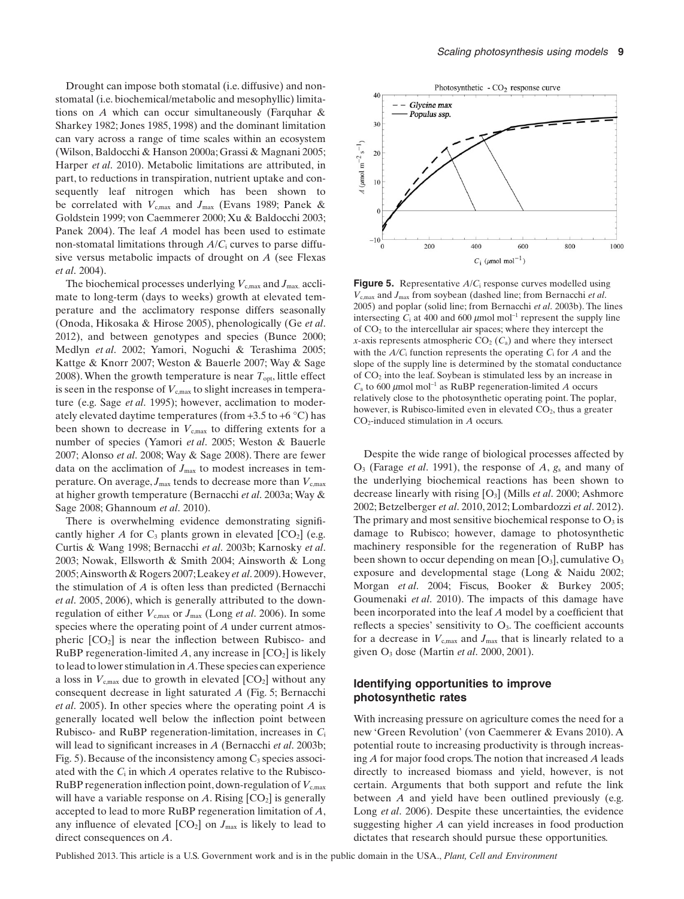Drought can impose both stomatal (i.e. diffusive) and nonstomatal (i.e. biochemical/metabolic and mesophyllic) limitations on *A* which can occur simultaneously (Farquhar & Sharkey 1982; Jones 1985, 1998) and the dominant limitation can vary across a range of time scales within an ecosystem (Wilson, Baldocchi & Hanson 2000a; Grassi & Magnani 2005; Harper *et al*. 2010). Metabolic limitations are attributed, in part, to reductions in transpiration, nutrient uptake and consequently leaf nitrogen which has been shown to be correlated with  $V_{\text{c,max}}$  and  $J_{\text{max}}$  (Evans 1989; Panek & Goldstein 1999; von Caemmerer 2000; Xu & Baldocchi 2003; Panek 2004). The leaf *A* model has been used to estimate non-stomatal limitations through *A*/*C*<sup>i</sup> curves to parse diffusive versus metabolic impacts of drought on *A* (see Flexas *et al*. 2004).

The biochemical processes underlying  $V_{\text{c,max}}$  and  $J_{\text{max}}$  acclimate to long-term (days to weeks) growth at elevated temperature and the acclimatory response differs seasonally (Onoda, Hikosaka & Hirose 2005), phenologically (Ge *et al*. 2012), and between genotypes and species (Bunce 2000; Medlyn *et al*. 2002; Yamori, Noguchi & Terashima 2005; Kattge & Knorr 2007; Weston & Bauerle 2007; Way & Sage 2008). When the growth temperature is near  $T_{opt}$ , little effect is seen in the response of  $V_{\text{c,max}}$  to slight increases in temperature (e.g. Sage *et al*. 1995); however, acclimation to moderately elevated daytime temperatures (from  $+3.5$  to  $+6$  °C) has been shown to decrease in  $V_{\text{c,max}}$  to differing extents for a number of species (Yamori *et al*. 2005; Weston & Bauerle 2007; Alonso *et al*. 2008; Way & Sage 2008). There are fewer data on the acclimation of  $J_{\text{max}}$  to modest increases in temperature. On average,  $J_{\text{max}}$  tends to decrease more than  $V_{\text{c,max}}$ at higher growth temperature (Bernacchi *et al*. 2003a; Way & Sage 2008; Ghannoum *et al*. 2010).

There is overwhelming evidence demonstrating significantly higher *A* for  $C_3$  plants grown in elevated  $[CO_2]$  (e.g. Curtis & Wang 1998; Bernacchi *et al*. 2003b; Karnosky *et al*. 2003; Nowak, Ellsworth & Smith 2004; Ainsworth & Long 2005;Ainsworth & Rogers 2007;Leakey *et al*. 2009).However, the stimulation of *A* is often less than predicted (Bernacchi *et al*. 2005, 2006), which is generally attributed to the downregulation of either  $V_{\text{c,max}}$  or  $J_{\text{max}}$  (Long *et al.* 2006). In some species where the operating point of *A* under current atmospheric  $[CO<sub>2</sub>]$  is near the inflection between Rubisco- and RuBP regeneration-limited  $A$ , any increase in  $[CO<sub>2</sub>]$  is likely to lead to lower stimulation in *A*.These species can experience a loss in  $V_{\text{c,max}}$  due to growth in elevated  $[CO_2]$  without any consequent decrease in light saturated *A* (Fig. 5; Bernacchi *et al*. 2005). In other species where the operating point *A* is generally located well below the inflection point between Rubisco- and RuBP regeneration-limitation, increases in *C*<sup>i</sup> will lead to significant increases in *A* (Bernacchi *et al*. 2003b; Fig. 5). Because of the inconsistency among  $C_3$  species associ-ated with the  $C_i$  in which  $A$  operates relative to the Rubisco-RuBP regeneration inflection point, down-regulation of  $V_{\text{c,max}}$ will have a variable response on  $A$ . Rising  $[CO_2]$  is generally accepted to lead to more RuBP regeneration limitation of *A*, any influence of elevated  $[CO_2]$  on  $J_{\text{max}}$  is likely to lead to direct consequences on *A*.



**Figure 5.** Representative *A*/*C*<sup>i</sup> response curves modelled using *V*c,max and *J*max from soybean (dashed line; from Bernacchi *et al*. 2005) and poplar (solid line; from Bernacchi *et al*. 2003b). The lines intersecting  $C_i$  at 400 and 600  $\mu$ mol mol<sup>-1</sup> represent the supply line of  $CO<sub>2</sub>$  to the intercellular air spaces; where they intercept the *x*-axis represents atmospheric  $CO_2$  ( $C_a$ ) and where they intersect with the  $A/C<sub>i</sub>$  function represents the operating  $C<sub>i</sub>$  for  $A$  and the slope of the supply line is determined by the stomatal conductance of  $CO<sub>2</sub>$  into the leaf. Soybean is stimulated less by an increase in  $C_a$  to 600  $\mu$ mol mol<sup>-1</sup> as RuBP regeneration-limited *A* occurs relatively close to the photosynthetic operating point. The poplar, however, is Rubisco-limited even in elevated  $CO<sub>2</sub>$ , thus a greater CO2-induced stimulation in *A* occurs.

Despite the wide range of biological processes affected by O3 (Farage *et al*. 1991), the response of *A*, *g*<sup>s</sup> and many of the underlying biochemical reactions has been shown to decrease linearly with rising [O3] (Mills *et al*. 2000; Ashmore 2002; Betzelberger *et al*. 2010, 2012; Lombardozzi *et al*. 2012). The primary and most sensitive biochemical response to  $O_3$  is damage to Rubisco; however, damage to photosynthetic machinery responsible for the regeneration of RuBP has been shown to occur depending on mean  $[O_3]$ , cumulative  $O_3$ exposure and developmental stage (Long & Naidu 2002; Morgan *et al*. 2004; Fiscus, Booker & Burkey 2005; Goumenaki *et al*. 2010). The impacts of this damage have been incorporated into the leaf *A* model by a coefficient that reflects a species' sensitivity to  $O<sub>3</sub>$ . The coefficient accounts for a decrease in  $V_{c,max}$  and  $J_{max}$  that is linearly related to a given O3 dose (Martin *et al*. 2000, 2001).

## **Identifying opportunities to improve photosynthetic rates**

With increasing pressure on agriculture comes the need for a new 'Green Revolution' (von Caemmerer & Evans 2010). A potential route to increasing productivity is through increasing *A* for major food crops.The notion that increased *A* leads directly to increased biomass and yield, however, is not certain. Arguments that both support and refute the link between *A* and yield have been outlined previously (e.g. Long *et al*. 2006). Despite these uncertainties, the evidence suggesting higher *A* can yield increases in food production dictates that research should pursue these opportunities.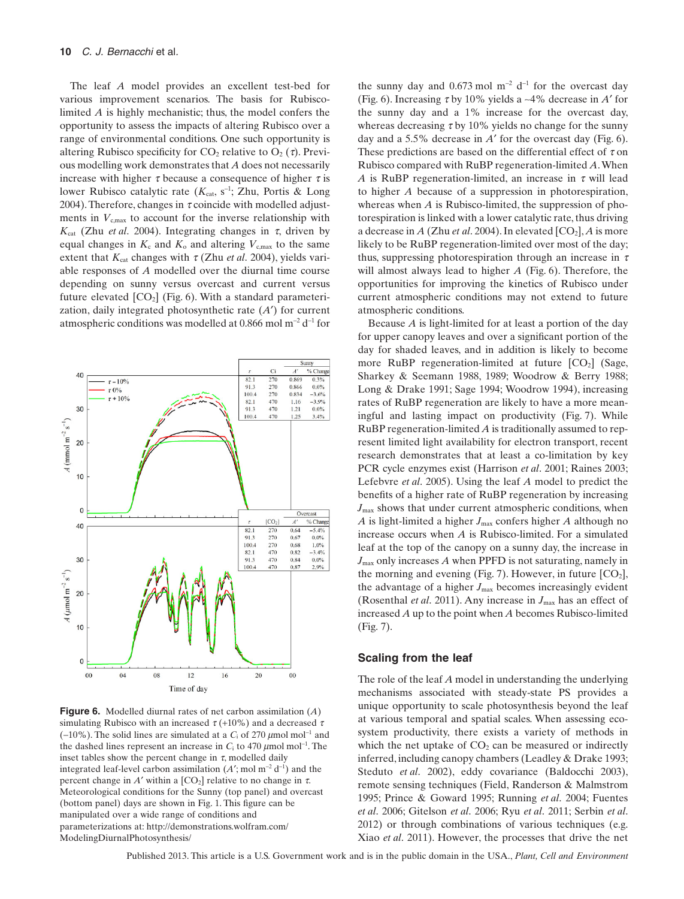The leaf *A* model provides an excellent test-bed for various improvement scenarios. The basis for Rubiscolimited *A* is highly mechanistic; thus, the model confers the opportunity to assess the impacts of altering Rubisco over a range of environmental conditions. One such opportunity is altering Rubisco specificity for  $CO_2$  relative to  $O_2(\tau)$ . Previous modelling work demonstrates that *A* does not necessarily increase with higher  $\tau$  because a consequence of higher  $\tau$  is lower Rubisco catalytic rate (K<sub>cat</sub>, s<sup>-1</sup>; Zhu, Portis & Long 2004). Therefore, changes in  $\tau$  coincide with modelled adjustments in  $V_{\text{c,max}}$  to account for the inverse relationship with  $K_{cat}$  (Zhu *et al.* 2004). Integrating changes in  $\tau$ , driven by equal changes in  $K_c$  and  $K_0$  and altering  $V_{c,max}$  to the same extent that  $K_{cat}$  changes with  $\tau$  (Zhu *et al.* 2004), yields variable responses of *A* modelled over the diurnal time course depending on sunny versus overcast and current versus future elevated  $[CO_2]$  (Fig. 6). With a standard parameterization, daily integrated photosynthetic rate (*A*′) for current atmospheric conditions was modelled at 0.866 mol  $m^{-2}$  d<sup>-1</sup> for



**Figure 6.** Modelled diurnal rates of net carbon assimilation (*A*) simulating Rubisco with an increased  $\tau$  (+10%) and a decreased  $\tau$  $(-10\%)$ . The solid lines are simulated at a  $C_i$  of 270  $\mu$ mol mol<sup>-1</sup> and the dashed lines represent an increase in  $C_i$  to 470  $\mu$ mol mol<sup>-1</sup>. The inset tables show the percent change in  $\tau$ , modelled daily integrated leaf-level carbon assimilation  $(A'; \text{mol m}^{-2} d^{-1})$  and the percent change in *A'* within a  $[CO_2]$  relative to no change in  $\tau$ . Meteorological conditions for the Sunny (top panel) and overcast (bottom panel) days are shown in Fig. 1. This figure can be manipulated over a wide range of conditions and parameterizations at: http://demonstrations.wolfram.com/ ModelingDiurnalPhotosynthesis/

the sunny day and  $0.673 \text{ mol m}^{-2} \text{ d}^{-1}$  for the overcast day (Fig. 6). Increasing  $\tau$  by 10% yields a ~4% decrease in *A'* for the sunny day and a 1% increase for the overcast day, whereas decreasing  $\tau$  by 10% yields no change for the sunny day and a 5.5% decrease in *A*′ for the overcast day (Fig. 6). These predictions are based on the differential effect of  $\tau$  on Rubisco compared with RuBP regeneration-limited *A*.When *A* is RuBP regeneration-limited, an increase in  $\tau$  will lead to higher *A* because of a suppression in photorespiration, whereas when *A* is Rubisco-limited, the suppression of photorespiration is linked with a lower catalytic rate, thus driving a decrease in  $A$  (Zhu *et al.* 2004). In elevated  $[CO_2]$ ,  $A$  is more likely to be RuBP regeneration-limited over most of the day; thus, suppressing photorespiration through an increase in  $\tau$ will almost always lead to higher *A* (Fig. 6). Therefore, the opportunities for improving the kinetics of Rubisco under current atmospheric conditions may not extend to future atmospheric conditions.

Because *A* is light-limited for at least a portion of the day for upper canopy leaves and over a significant portion of the day for shaded leaves, and in addition is likely to become more RuBP regeneration-limited at future  $[CO<sub>2</sub>]$  (Sage, Sharkey & Seemann 1988, 1989; Woodrow & Berry 1988; Long & Drake 1991; Sage 1994; Woodrow 1994), increasing rates of RuBP regeneration are likely to have a more meaningful and lasting impact on productivity (Fig. 7). While RuBP regeneration-limited *A* is traditionally assumed to represent limited light availability for electron transport, recent research demonstrates that at least a co-limitation by key PCR cycle enzymes exist (Harrison *et al*. 2001; Raines 2003; Lefebvre *et al*. 2005). Using the leaf *A* model to predict the benefits of a higher rate of RuBP regeneration by increasing  $J_{\text{max}}$  shows that under current atmospheric conditions, when *A* is light-limited a higher  $J_{\text{max}}$  confers higher *A* although no increase occurs when *A* is Rubisco-limited. For a simulated leaf at the top of the canopy on a sunny day, the increase in *J*max only increases *A* when PPFD is not saturating, namely in the morning and evening (Fig. 7). However, in future  $[CO<sub>2</sub>]$ , the advantage of a higher  $J_{\text{max}}$  becomes increasingly evident (Rosenthal *et al.* 2011). Any increase in  $J_{\text{max}}$  has an effect of increased *A* up to the point when *A* becomes Rubisco-limited (Fig. 7).

#### **Scaling from the leaf**

The role of the leaf *A* model in understanding the underlying mechanisms associated with steady-state PS provides a unique opportunity to scale photosynthesis beyond the leaf at various temporal and spatial scales. When assessing ecosystem productivity, there exists a variety of methods in which the net uptake of  $CO<sub>2</sub>$  can be measured or indirectly inferred, including canopy chambers (Leadley & Drake 1993; Steduto *et al*. 2002), eddy covariance (Baldocchi 2003), remote sensing techniques (Field, Randerson & Malmstrom 1995; Prince & Goward 1995; Running *et al*. 2004; Fuentes *et al*. 2006; Gitelson *et al*. 2006; Ryu *et al*. 2011; Serbin *et al*. 2012) or through combinations of various techniques (e.g. Xiao *et al*. 2011). However, the processes that drive the net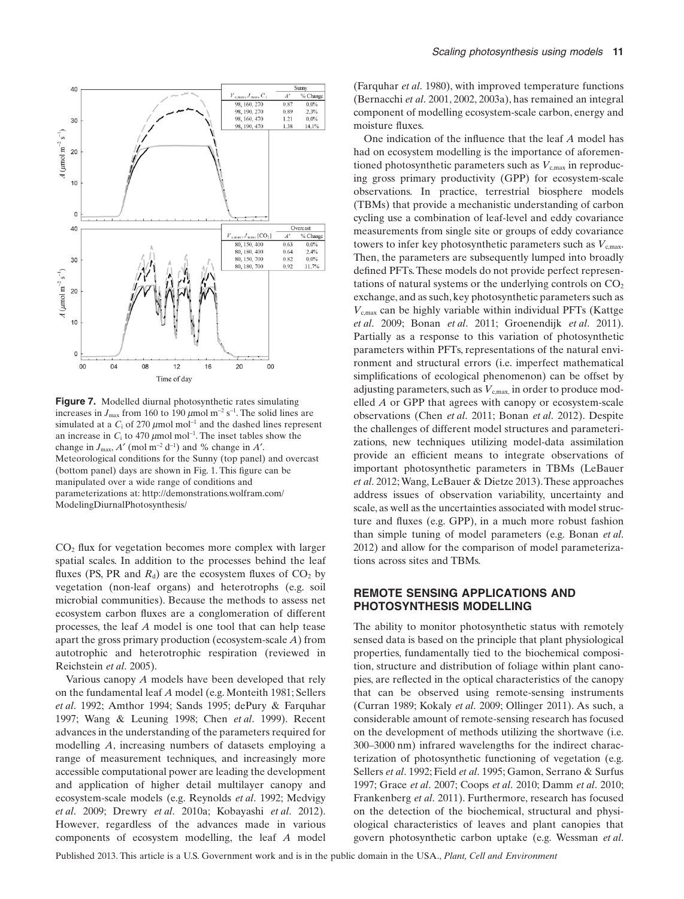

**Figure 7.** Modelled diurnal photosynthetic rates simulating increases in  $J_{\text{max}}$  from 160 to 190  $\mu$ mol m<sup>-2</sup> s<sup>-1</sup>. The solid lines are simulated at a  $C_i$  of 270  $\mu$ mol mol<sup>-1</sup> and the dashed lines represent an increase in  $C_i$  to 470  $\mu$ mol mol<sup>-1</sup>. The inset tables show the change in  $J_{\text{max}}$ ,  $A'$  (mol m<sup>-2</sup> d<sup>-1</sup>) and % change in  $A'$ . Meteorological conditions for the Sunny (top panel) and overcast (bottom panel) days are shown in Fig. 1. This figure can be manipulated over a wide range of conditions and parameterizations at: http://demonstrations.wolfram.com/ ModelingDiurnalPhotosynthesis/

 $CO<sub>2</sub>$  flux for vegetation becomes more complex with larger spatial scales. In addition to the processes behind the leaf fluxes (PS, PR and  $R_d$ ) are the ecosystem fluxes of  $CO_2$  by vegetation (non-leaf organs) and heterotrophs (e.g. soil microbial communities). Because the methods to assess net ecosystem carbon fluxes are a conglomeration of different processes, the leaf *A* model is one tool that can help tease apart the gross primary production (ecosystem-scale *A*) from autotrophic and heterotrophic respiration (reviewed in Reichstein *et al*. 2005).

Various canopy *A* models have been developed that rely on the fundamental leaf *A* model (e.g. Monteith 1981; Sellers *et al*. 1992; Amthor 1994; Sands 1995; dePury & Farquhar 1997; Wang & Leuning 1998; Chen *et al*. 1999). Recent advances in the understanding of the parameters required for modelling *A*, increasing numbers of datasets employing a range of measurement techniques, and increasingly more accessible computational power are leading the development and application of higher detail multilayer canopy and ecosystem-scale models (e.g. Reynolds *et al*. 1992; Medvigy *et al*. 2009; Drewry *et al*. 2010a; Kobayashi *et al*. 2012). However, regardless of the advances made in various components of ecosystem modelling, the leaf *A* model (Farquhar *et al*. 1980), with improved temperature functions (Bernacchi *et al*. 2001, 2002, 2003a), has remained an integral component of modelling ecosystem-scale carbon, energy and moisture fluxes.

One indication of the influence that the leaf *A* model has had on ecosystem modelling is the importance of aforementioned photosynthetic parameters such as  $V_{c,max}$  in reproducing gross primary productivity (GPP) for ecosystem-scale observations. In practice, terrestrial biosphere models (TBMs) that provide a mechanistic understanding of carbon cycling use a combination of leaf-level and eddy covariance measurements from single site or groups of eddy covariance towers to infer key photosynthetic parameters such as  $V_{\text{cmax}}$ . Then, the parameters are subsequently lumped into broadly defined PFTs.These models do not provide perfect representations of natural systems or the underlying controls on  $CO<sub>2</sub>$ exchange, and as such, key photosynthetic parameters such as  $V_{\text{c,max}}$  can be highly variable within individual PFTs (Kattge *et al*. 2009; Bonan *et al*. 2011; Groenendijk *et al*. 2011). Partially as a response to this variation of photosynthetic parameters within PFTs, representations of the natural environment and structural errors (i.e. imperfect mathematical simplifications of ecological phenomenon) can be offset by adjusting parameters, such as  $V_{\text{c,max}}$  in order to produce modelled *A* or GPP that agrees with canopy or ecosystem-scale observations (Chen *et al*. 2011; Bonan *et al*. 2012). Despite the challenges of different model structures and parameterizations, new techniques utilizing model-data assimilation provide an efficient means to integrate observations of important photosynthetic parameters in TBMs (LeBauer *et al*. 2012;Wang, LeBauer & Dietze 2013).These approaches address issues of observation variability, uncertainty and scale, as well as the uncertainties associated with model structure and fluxes (e.g. GPP), in a much more robust fashion than simple tuning of model parameters (e.g. Bonan *et al*. 2012) and allow for the comparison of model parameterizations across sites and TBMs.

## **REMOTE SENSING APPLICATIONS AND PHOTOSYNTHESIS MODELLING**

The ability to monitor photosynthetic status with remotely sensed data is based on the principle that plant physiological properties, fundamentally tied to the biochemical composition, structure and distribution of foliage within plant canopies, are reflected in the optical characteristics of the canopy that can be observed using remote-sensing instruments (Curran 1989; Kokaly *et al*. 2009; Ollinger 2011). As such, a considerable amount of remote-sensing research has focused on the development of methods utilizing the shortwave (i.e. 300–3000 nm) infrared wavelengths for the indirect characterization of photosynthetic functioning of vegetation (e.g. Sellers *et al*. 1992; Field *et al*. 1995; Gamon, Serrano & Surfus 1997; Grace *et al*. 2007; Coops *et al*. 2010; Damm *et al*. 2010; Frankenberg *et al*. 2011). Furthermore, research has focused on the detection of the biochemical, structural and physiological characteristics of leaves and plant canopies that govern photosynthetic carbon uptake (e.g. Wessman *et al*.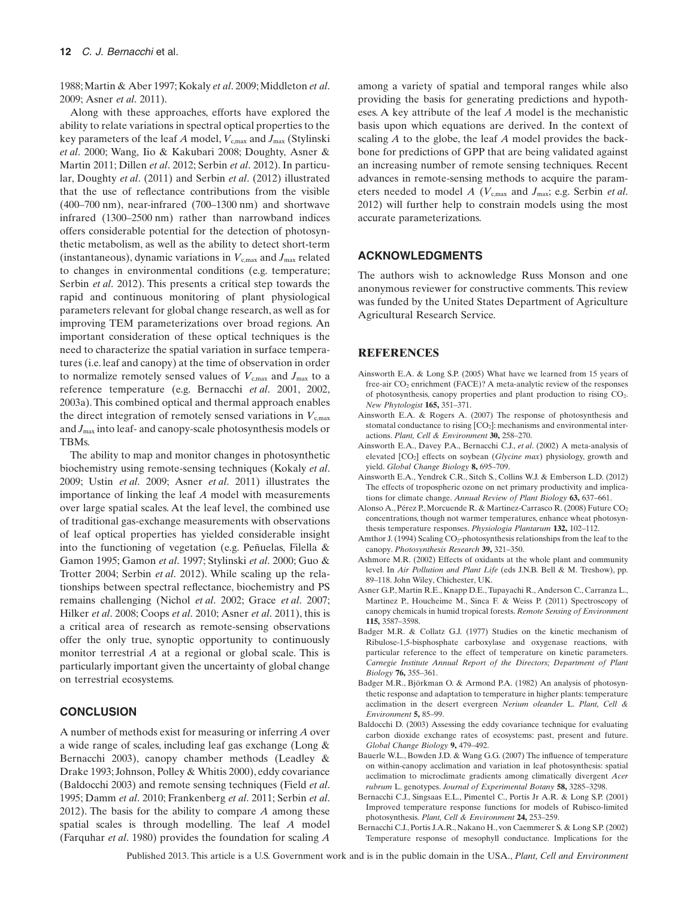1988;Martin & Aber 1997; Kokaly *et al*. 2009;Middleton *et al*. 2009; Asner *et al*. 2011).

Along with these approaches, efforts have explored the ability to relate variations in spectral optical properties to the key parameters of the leaf *A* model,  $V_{\text{c,max}}$  and  $J_{\text{max}}$  (Stylinski *et al*. 2000; Wang, Iio & Kakubari 2008; Doughty, Asner & Martin 2011; Dillen *et al*. 2012; Serbin *et al*. 2012). In particular, Doughty *et al*. (2011) and Serbin *et al*. (2012) illustrated that the use of reflectance contributions from the visible (400–700 nm), near-infrared (700–1300 nm) and shortwave infrared (1300–2500 nm) rather than narrowband indices offers considerable potential for the detection of photosynthetic metabolism, as well as the ability to detect short-term (instantaneous), dynamic variations in  $V_{\text{c,max}}$  and  $J_{\text{max}}$  related to changes in environmental conditions (e.g. temperature; Serbin *et al*. 2012). This presents a critical step towards the rapid and continuous monitoring of plant physiological parameters relevant for global change research, as well as for improving TEM parameterizations over broad regions. An important consideration of these optical techniques is the need to characterize the spatial variation in surface temperatures (i.e. leaf and canopy) at the time of observation in order to normalize remotely sensed values of  $V_{\text{c,max}}$  and  $J_{\text{max}}$  to a reference temperature (e.g. Bernacchi *et al*. 2001, 2002, 2003a). This combined optical and thermal approach enables the direct integration of remotely sensed variations in  $V_{\text{cmax}}$ and *J*max into leaf- and canopy-scale photosynthesis models or TBMs.

The ability to map and monitor changes in photosynthetic biochemistry using remote-sensing techniques (Kokaly *et al*. 2009; Ustin *et al*. 2009; Asner *et al*. 2011) illustrates the importance of linking the leaf *A* model with measurements over large spatial scales. At the leaf level, the combined use of traditional gas-exchange measurements with observations of leaf optical properties has yielded considerable insight into the functioning of vegetation (e.g. Peñuelas, Filella & Gamon 1995; Gamon *et al*. 1997; Stylinski *et al*. 2000; Guo & Trotter 2004; Serbin *et al*. 2012). While scaling up the relationships between spectral reflectance, biochemistry and PS remains challenging (Nichol *et al*. 2002; Grace *et al*. 2007; Hilker *et al*. 2008; Coops *et al*. 2010; Asner *et al*. 2011), this is a critical area of research as remote-sensing observations offer the only true, synoptic opportunity to continuously monitor terrestrial *A* at a regional or global scale. This is particularly important given the uncertainty of global change on terrestrial ecosystems.

## **CONCLUSION**

A number of methods exist for measuring or inferring *A* over a wide range of scales, including leaf gas exchange (Long & Bernacchi 2003), canopy chamber methods (Leadley & Drake 1993; Johnson, Polley & Whitis 2000), eddy covariance (Baldocchi 2003) and remote sensing techniques (Field *et al*. 1995; Damm *et al*. 2010; Frankenberg *et al*. 2011; Serbin *et al*. 2012). The basis for the ability to compare *A* among these spatial scales is through modelling. The leaf *A* model (Farquhar *et al*. 1980) provides the foundation for scaling *A*

among a variety of spatial and temporal ranges while also providing the basis for generating predictions and hypotheses. A key attribute of the leaf *A* model is the mechanistic basis upon which equations are derived. In the context of scaling *A* to the globe, the leaf *A* model provides the backbone for predictions of GPP that are being validated against an increasing number of remote sensing techniques. Recent advances in remote-sensing methods to acquire the parameters needed to model *A* ( $V_{\text{cmax}}$  and  $J_{\text{max}}$ ; e.g. Serbin *et al.* 2012) will further help to constrain models using the most accurate parameterizations.

#### **ACKNOWLEDGMENTS**

The authors wish to acknowledge Russ Monson and one anonymous reviewer for constructive comments. This review was funded by the United States Department of Agriculture Agricultural Research Service.

#### **REFERENCES**

- Ainsworth E.A. & Long S.P. (2005) What have we learned from 15 years of free-air  $CO<sub>2</sub>$  enrichment (FACE)? A meta-analytic review of the responses of photosynthesis, canopy properties and plant production to rising CO2. *New Phytologist* **165,** 351–371.
- Ainsworth E.A. & Rogers A. (2007) The response of photosynthesis and stomatal conductance to rising  $[CO<sub>2</sub>]$ : mechanisms and environmental interactions. *Plant, Cell & Environment* **30,** 258–270.
- Ainsworth E.A., Davey P.A., Bernacchi C.J., *et al*. (2002) A meta-analysis of elevated [CO2] effects on soybean (*Glycine max*) physiology, growth and yield. *Global Change Biology* **8,** 695–709.
- Ainsworth E.A., Yendrek C.R., Sitch S., Collins W.J. & Emberson L.D. (2012) The effects of tropospheric ozone on net primary productivity and implications for climate change. *Annual Review of Plant Biology* **63,** 637–661.
- Alonso A., Pérez P., Morcuende R. & Martinez-Carrasco R. (2008) Future CO<sub>2</sub> concentrations, though not warmer temperatures, enhance wheat photosynthesis temperature responses. *Physiologia Plantarum* **132,** 102–112.
- Amthor J. (1994) Scaling CO<sub>2</sub>-photosynthesis relationships from the leaf to the canopy. *Photosynthesis Research* **39,** 321–350.
- Ashmore M.R. (2002) Effects of oxidants at the whole plant and community level. In *Air Pollution and Plant Life* (eds J.N.B. Bell & M. Treshow), pp. 89–118. John Wiley, Chichester, UK.
- Asner G.P., Martin R.E., Knapp D.E., Tupayachi R., Anderson C., Carranza L., Martinez P., Houcheime M., Sinca F. & Weiss P. (2011) Spectroscopy of canopy chemicals in humid tropical forests. *Remote Sensing of Environment* **115,** 3587–3598.
- Badger M.R. & Collatz G.J. (1977) Studies on the kinetic mechanism of Ribulose-1,5-bisphosphate carboxylase and oxygenase reactions, with particular reference to the effect of temperature on kinetic parameters. *Carnegie Institute Annual Report of the Directors; Department of Plant Biology* **76,** 355–361.
- Badger M.R., Björkman O. & Armond P.A. (1982) An analysis of photosynthetic response and adaptation to temperature in higher plants: temperature acclimation in the desert evergreen *Nerium oleander* L. *Plant, Cell & Environment* **5,** 85–99.
- Baldocchi D. (2003) Assessing the eddy covariance technique for evaluating carbon dioxide exchange rates of ecosystems: past, present and future. *Global Change Biology* **9,** 479–492.
- Bauerle W.L., Bowden J.D. & Wang G.G. (2007) The influence of temperature on within-canopy acclimation and variation in leaf photosynthesis: spatial acclimation to microclimate gradients among climatically divergent *Acer rubrum* L. genotypes. *Journal of Experimental Botany* **58,** 3285–3298.
- Bernacchi C.J., Singsaas E.L., Pimentel C., Portis Jr A.R. & Long S.P. (2001) Improved temperature response functions for models of Rubisco-limited photosynthesis. *Plant, Cell & Environment* **24,** 253–259.
- Bernacchi C.J., Portis J.A.R., Nakano H., von Caemmerer S. & Long S.P. (2002) Temperature response of mesophyll conductance. Implications for the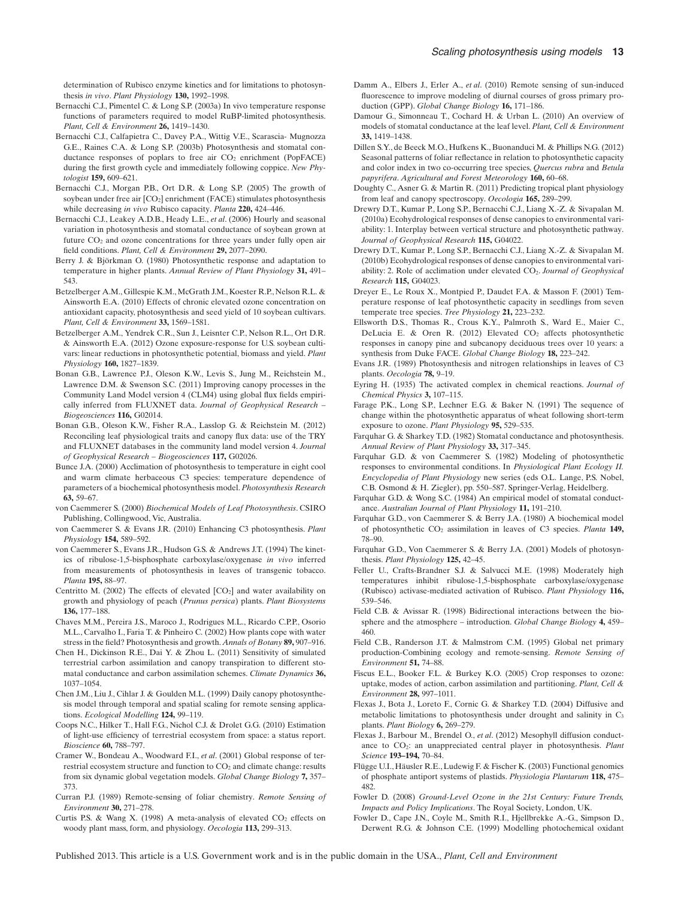determination of Rubisco enzyme kinetics and for limitations to photosynthesis *in vivo*. *Plant Physiology* **130,** 1992–1998.

- Bernacchi C.J., Pimentel C. & Long S.P. (2003a) In vivo temperature response functions of parameters required to model RuBP-limited photosynthesis. *Plant, Cell & Environment* **26,** 1419–1430.
- Bernacchi C.J., Calfapietra C., Davey P.A., Wittig V.E., Scarascia- Mugnozza G.E., Raines C.A. & Long S.P. (2003b) Photosynthesis and stomatal conductance responses of poplars to free air  $CO<sub>2</sub>$  enrichment (PopFACE) during the first growth cycle and immediately following coppice. *New Phytologist* **159,** 609–621.
- Bernacchi C.J., Morgan P.B., Ort D.R. & Long S.P. (2005) The growth of soybean under free air  $[CO_2]$  enrichment (FACE) stimulates photosynthesis while decreasing *in vivo* Rubisco capacity. *Planta* **220,** 424–446.
- Bernacchi C.J., Leakey A.D.B., Heady L.E., *et al*. (2006) Hourly and seasonal variation in photosynthesis and stomatal conductance of soybean grown at future  $CO<sub>2</sub>$  and ozone concentrations for three years under fully open air field conditions. *Plant, Cell & Environment* **29,** 2077–2090.
- Berry J. & Björkman O. (1980) Photosynthetic response and adaptation to temperature in higher plants. *Annual Review of Plant Physiology* **31,** 491– 543.
- Betzelberger A.M., Gillespie K.M., McGrath J.M., Koester R.P., Nelson R.L. & Ainsworth E.A. (2010) Effects of chronic elevated ozone concentration on antioxidant capacity, photosynthesis and seed yield of 10 soybean cultivars. *Plant, Cell & Environment* **33,** 1569–1581.
- Betzelberger A.M., Yendrek C.R., Sun J., Leisnter C.P., Nelson R.L., Ort D.R. & Ainsworth E.A. (2012) Ozone exposure-response for U.S. soybean cultivars: linear reductions in photosynthetic potential, biomass and yield. *Plant Physiology* **160,** 1827–1839.
- Bonan G.B., Lawrence P.J., Oleson K.W., Levis S., Jung M., Reichstein M., Lawrence D.M. & Swenson S.C. (2011) Improving canopy processes in the Community Land Model version 4 (CLM4) using global flux fields empirically inferred from FLUXNET data. *Journal of Geophysical Research – Biogeosciences* **116,** G02014.
- Bonan G.B., Oleson K.W., Fisher R.A., Lasslop G. & Reichstein M. (2012) Reconciling leaf physiological traits and canopy flux data: use of the TRY and FLUXNET databases in the community land model version 4. *Journal of Geophysical Research – Biogeosciences* **117,** G02026.
- Bunce J.A. (2000) Acclimation of photosynthesis to temperature in eight cool and warm climate herbaceous C3 species: temperature dependence of parameters of a biochemical photosynthesis model. *Photosynthesis Research* **63,** 59–67.
- von Caemmerer S. (2000) *Biochemical Models of Leaf Photosynthesis*. CSIRO Publishing, Collingwood, Vic, Australia.
- von Caemmerer S. & Evans J.R. (2010) Enhancing C3 photosynthesis. *Plant Physiology* **154,** 589–592.
- von Caemmerer S., Evans J.R., Hudson G.S. & Andrews J.T. (1994) The kinetics of ribulose-1,5-bisphosphate carboxylase/oxygenase *in vivo* inferred from measurements of photosynthesis in leaves of transgenic tobacco. *Planta* **195,** 88–97.
- Centritto M. (2002) The effects of elevated  $[CO<sub>2</sub>]$  and water availability on growth and physiology of peach (*Prunus persica*) plants. *Plant Biosystems* **136,** 177–188.
- Chaves M.M., Pereira J.S., Maroco J., Rodrigues M.L., Ricardo C.P.P., Osorio M.L., Carvalho I., Faria T. & Pinheiro C. (2002) How plants cope with water stress in the field? Photosynthesis and growth.*Annals of Botany* **89,** 907–916.
- Chen H., Dickinson R.E., Dai Y. & Zhou L. (2011) Sensitivity of simulated terrestrial carbon assimilation and canopy transpiration to different stomatal conductance and carbon assimilation schemes. *Climate Dynamics* **36,** 1037–1054.
- Chen J.M., Liu J., Cihlar J. & Goulden M.L. (1999) Daily canopy photosynthesis model through temporal and spatial scaling for remote sensing applications. *Ecological Modelling* **124,** 99–119.
- Coops N.C., Hilker T., Hall F.G., Nichol C.J. & Drolet G.G. (2010) Estimation of light-use efficiency of terrestrial ecosystem from space: a status report. *Bioscience* **60,** 788–797.
- Cramer W., Bondeau A., Woodward F.I., *et al*. (2001) Global response of terrestrial ecosystem structure and function to CO<sub>2</sub> and climate change: results from six dynamic global vegetation models. *Global Change Biology* **7,** 357– 373.
- Curran P.J. (1989) Remote-sensing of foliar chemistry. *Remote Sensing of Environment* **30,** 271–278.
- Curtis P.S. & Wang X. (1998) A meta-analysis of elevated  $CO<sub>2</sub>$  effects on woody plant mass, form, and physiology. *Oecologia* **113,** 299–313.
- Damm A., Elbers J., Erler A., *et al*. (2010) Remote sensing of sun-induced fluorescence to improve modeling of diurnal courses of gross primary production (GPP). *Global Change Biology* **16,** 171–186.
- Damour G., Simonneau T., Cochard H. & Urban L. (2010) An overview of models of stomatal conductance at the leaf level. *Plant, Cell & Environment* **33,** 1419–1438.
- Dillen S.Y., de Beeck M.O., Hufkens K., Buonanduci M. & Phillips N.G. (2012) Seasonal patterns of foliar reflectance in relation to photosynthetic capacity and color index in two co-occurring tree species, *Quercus rubra* and *Betula papyrifera*. *Agricultural and Forest Meteorology* **160,** 60–68.
- Doughty C., Asner G. & Martin R. (2011) Predicting tropical plant physiology from leaf and canopy spectroscopy. *Oecologia* **165,** 289–299.
- Drewry D.T., Kumar P., Long S.P., Bernacchi C.J., Liang X.-Z. & Sivapalan M. (2010a) Ecohydrological responses of dense canopies to environmental variability: 1. Interplay between vertical structure and photosynthetic pathway. *Journal of Geophysical Research* **115,** G04022.
- Drewry D.T., Kumar P., Long S.P., Bernacchi C.J., Liang X.-Z. & Sivapalan M. (2010b) Ecohydrological responses of dense canopies to environmental variability: 2. Role of acclimation under elevated CO2. *Journal of Geophysical Research* **115,** G04023.
- Dreyer E., Le Roux X., Montpied P., Daudet F.A. & Masson F. (2001) Temperature response of leaf photosynthetic capacity in seedlings from seven temperate tree species. *Tree Physiology* **21,** 223–232.
- Ellsworth D.S., Thomas R., Crous K.Y., Palmroth S., Ward E., Maier C., DeLucia E. & Oren R. (2012) Elevated  $CO<sub>2</sub>$  affects photosynthetic responses in canopy pine and subcanopy deciduous trees over 10 years: a synthesis from Duke FACE. *Global Change Biology* **18,** 223–242.
- Evans J.R. (1989) Photosynthesis and nitrogen relationships in leaves of C3 plants. *Oecologia* **78,** 9–19.
- Eyring H. (1935) The activated complex in chemical reactions. *Journal of Chemical Physics* **3,** 107–115.
- Farage P.K., Long S.P., Lechner E.G. & Baker N. (1991) The sequence of change within the photosynthetic apparatus of wheat following short-term exposure to ozone. *Plant Physiology* **95,** 529–535.
- Farquhar G. & Sharkey T.D. (1982) Stomatal conductance and photosynthesis. *Annual Review of Plant Physiology* **33,** 317–345.
- Farquhar G.D. & von Caemmerer S. (1982) Modeling of photosynthetic responses to environmental conditions. In *Physiological Plant Ecology II. Encyclopedia of Plant Physiology* new series (eds O.L. Lange, P.S. Nobel, C.B. Osmond & H. Ziegler), pp. 550–587. Springer-Verlag, Heidelberg.
- Farquhar G.D. & Wong S.C. (1984) An empirical model of stomatal conductance. *Australian Journal of Plant Physiology* **11,** 191–210.
- Farquhar G.D., von Caemmerer S. & Berry J.A. (1980) A biochemical model of photosynthetic CO2 assimilation in leaves of C3 species. *Planta* **149,** 78–90.
- Farquhar G.D., Von Caemmerer S. & Berry J.A. (2001) Models of photosynthesis. *Plant Physiology* **125,** 42–45.
- Feller U., Crafts-Brandner S.J. & Salvucci M.E. (1998) Moderately high temperatures inhibit ribulose-1,5-bisphosphate carboxylase/oxygenase (Rubisco) activase-mediated activation of Rubisco. *Plant Physiology* **116,** 539–546.
- Field C.B. & Avissar R. (1998) Bidirectional interactions between the biosphere and the atmosphere – introduction. *Global Change Biology* **4,** 459– 460.
- Field C.B., Randerson J.T. & Malmstrom C.M. (1995) Global net primary production-Combining ecology and remote-sensing. *Remote Sensing of Environment* **51,** 74–88.
- Fiscus E.L., Booker F.L. & Burkey K.O. (2005) Crop responses to ozone: uptake, modes of action, carbon assimilation and partitioning. *Plant, Cell & Environment* **28,** 997–1011.
- Flexas J., Bota J., Loreto F., Cornic G. & Sharkey T.D. (2004) Diffusive and metabolic limitations to photosynthesis under drought and salinity in C<sub>3</sub> plants. *Plant Biology* **6,** 269–279.
- Flexas J., Barbour M., Brendel O., *et al*. (2012) Mesophyll diffusion conductance to CO2: an unappreciated central player in photosynthesis. *Plant Science* **193–194,** 70–84.
- Flügge U.I., Häusler R.E., Ludewig F. & Fischer K. (2003) Functional genomics of phosphate antiport systems of plastids. *Physiologia Plantarum* **118,** 475– 482.
- Fowler D. (2008) *Ground-Level Ozone in the 21st Century: Future Trends, Impacts and Policy Implications*. The Royal Society, London, UK.
- Fowler D., Cape J.N., Coyle M., Smith R.I., Hjellbrekke A.-G., Simpson D., Derwent R.G. & Johnson C.E. (1999) Modelling photochemical oxidant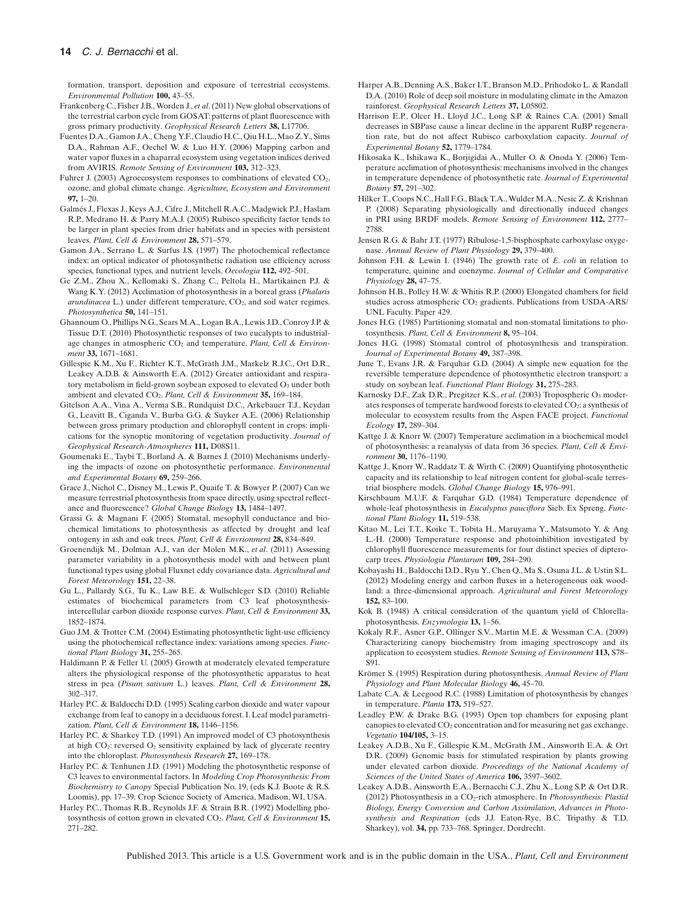formation, transport, deposition and exposure of terrestrial ecosystems. *Environmental Pollution* **100,** 43–55.

- Frankenberg C., Fisher J.B., Worden J., *et al*. (2011) New global observations of the terrestrial carbon cycle from GOSAT: patterns of plant fluorescence with gross primary productivity. *Geophysical Research Letters* **38,** L17706.
- Fuentes D.A., Gamon J.A., Cheng Y.F., Claudio H.C., Qiu H.L.,Mao Z.Y., Sims D.A., Rahman A.F., Oechel W. & Luo H.Y. (2006) Mapping carbon and water vapor fluxes in a chaparral ecosystem using vegetation indices derived from AVIRIS. *Remote Sensing of Environment* **103,** 312–323.
- Fuhrer J. (2003) Agroecosystem responses to combinations of elevated  $CO<sub>2</sub>$ . ozone, and global climate change. *Agriculture, Ecosystem and Environment* **97,** 1–20.
- Galmés J., Flexas J., Keys A.J., Cifre J., Mitchell R.A.C., Madgwick P.J., Haslam R.P., Medrano H. & Parry M.A.J. (2005) Rubisco specificity factor tends to be larger in plant species from drier habitats and in species with persistent leaves. *Plant, Cell & Environment* **28,** 571–579.
- Gamon J.A., Serrano L. & Surfus J.S. (1997) The photochemical reflectance index: an optical indicator of photosynthetic radiation use efficiency across species, functional types, and nutrient levels. *Oecologia* **112,** 492–501.
- Ge Z.M., Zhou X., Kellomaki S., Zhang C., Peltola H., Martikainen P.J. & Wang K.Y. (2012) Acclimation of photosynthesis in a boreal grass (*Phalaris arundinacea* L.) under different temperature, CO<sub>2</sub>, and soil water regimes. *Photosynthetica* **50,** 141–151.
- Ghannoum O., Phillips N.G., Sears M.A., Logan B.A., Lewis J.D., Conroy J.P. & Tissue D.T. (2010) Photosynthetic responses of two eucalypts to industrialage changes in atmospheric CO<sub>2</sub> and temperature. Plant, Cell & Environ*ment* **33,** 1671–1681.
- Gillespie K.M., Xu F., Richter K.T., McGrath J.M., Markelz R.J.C., Ort D.R., Leakey A.D.B. & Ainsworth E.A. (2012) Greater antioxidant and respiratory metabolism in field-grown soybean exposed to elevated O3 under both ambient and elevated CO2. *Plant, Cell & Environment* **35,** 169–184.
- Gitelson A.A., Vina A., Verma S.B., Rundquist D.C., Arkebauer T.J., Keydan G., Leavitt B., Ciganda V., Burba G.G. & Suyker A.E. (2006) Relationship between gross primary production and chlorophyll content in crops: implications for the synoptic monitoring of vegetation productivity. *Journal of Geophysical Research-Atmospheres* **111,** D08S11.
- Goumenaki E., Taybi T., Borland A. & Barnes J. (2010) Mechanisms underlying the impacts of ozone on photosynthetic performance. *Environmental and Experimental Botany* **69,** 259–266.
- Grace J., Nichol C., Disney M., Lewis P., Quaife T. & Bowyer P. (2007) Can we measure terrestrial photosynthesis from space directly, using spectral reflectance and fluorescence? *Global Change Biology* **13,** 1484–1497.
- Grassi G. & Magnani F. (2005) Stomatal, mesophyll conductance and biochemical limitations to photosynthesis as affected by drought and leaf ontogeny in ash and oak trees. *Plant, Cell & Envrionment* **28,** 834–849.
- Groenendijk M., Dolman A.J., van der Molen M.K., *et al*. (2011) Assessing parameter variability in a photosynthesis model with and between plant functional types using global Fluxnet eddy covariance data. *Agricultural and Forest Meteorology* **151,** 22–38.
- Gu L., Pallardy S.G., Tu K., Law B.E. & Wullschleger S.D. (2010) Reliable estimates of biochemical parameters from C3 leaf photosynthesisintercellular carbon dioxide response curves. *Plant, Cell & Environment* **33,** 1852–1874.
- Guo J.M. & Trotter C.M. (2004) Estimating photosynthetic light-use efficiency using the photochemical reflectance index: variations among species. *Functional Plant Biology* **31,** 255–265.
- Haldimann P. & Feller U. (2005) Growth at moderately elevated temperature alters the physiological response of the photosynthetic apparatus to heat stress in pea (*Pisum sativum* L.) leaves. *Plant, Cell & Environment* **28,** 302–317.
- Harley P.C. & Baldocchi D.D. (1995) Scaling carbon dioxide and water vapour exchange from leaf to canopy in a deciduous forest. I. Leaf model parametrization. *Plant, Cell & Environment* **18,** 1146–1156.
- Harley P.C. & Sharkey T.D. (1991) An improved model of C3 photosynthesis at high CO<sub>2</sub>: reversed O<sub>2</sub> sensitivity explained by lack of glycerate reentry into the chloroplast. *Photosynthesis Research* **27,** 169–178.
- Harley P.C. & Tenhunen J.D. (1991) Modeling the photosynthetic response of C3 leaves to environmental factors. In *Modeling Crop Photosynthesis: From Biochemistry to Canopy* Special Publication No. 19, (eds K.J. Boote & R.S. Loomis), pp. 17–39. Crop Science Society of America, Madison, WI, USA.
- Harley P.C., Thomas R.B., Reynolds J.F. & Strain B.R. (1992) Modelling photosynthesis of cotton grown in elevated CO2. *Plant, Cell & Environment* **15,** 271–282.
- Harper A.B., Denning A.S., Baker I.T., Branson M.D., Prihodoko L. & Randall D.A. (2010) Role of deep soil moisture in modulating climate in the Amazon rainforest. *Geophysical Research Letters* **37,** L05802.
- Harrison E.P., Olcer H., Lloyd J.C., Long S.P. & Raines C.A. (2001) Small decreases in SBPase cause a linear decline in the apparent RuBP regeneration rate, but do not affect Rubisco carboxylation capacity. *Journal of Experimental Botany* **52,** 1779–1784.
- Hikosaka K., Ishikawa K., Borjigidai A., Muller O. & Onoda Y. (2006) Temperature acclimation of photosynthesis: mechanisms involved in the changes in temperature dependence of photosynthetic rate. *Journal of Experimental Botany* **57,** 291–302.
- Hilker T., Coops N.C., Hall F.G., Black T.A.,Wulder M.A., Nesic Z. & Krishnan P. (2008) Separating physiologically and directionally induced changes in PRI using BRDF models. *Remote Sensing of Environment* **112,** 2777– 2788.
- Jensen R.G. & Bahr J.T. (1977) Ribulose-1,5-bisphosphate carboxylase oxygenase. *Annual Review of Plant Physiology* **29,** 379–400.
- Johnson F.H. & Lewin I. (1946) The growth rate of *E. coli* in relation to temperature, quinine and coenzyme. *Journal of Cellular and Comparative Physiology* **28,** 47–75.
- Johnson H.B., Polley H.W. & Whitis R.P. (2000) Elongated chambers for field studies across atmospheric CO<sub>2</sub> gradients. Publications from USDA-ARS/ UNL Faculty. Paper 429.
- Jones H.G. (1985) Partitioning stomatal and non-stomatal limitations to photosynthesis. *Plant, Cell & Environment* **8,** 95–104.
- Jones H.G. (1998) Stomatal control of photosynthesis and transpiration. *Journal of Experimental Botany* **49,** 387–398.
- June T., Evans J.R. & Farquhar G.D. (2004) A simple new equation for the reversible temperature dependence of photosynthetic electron transport: a study on soybean leaf. *Functional Plant Biology* **31,** 275–283.
- Karnosky D.F., Zak D.R., Pregitzer K.S., et al. (2003) Tropospheric O<sub>3</sub> moderates responses of temperate hardwood forests to elevated CO<sub>2</sub>: a synthesis of molecular to ecosystem results from the Aspen FACE project. *Functional Ecology* **17,** 289–304.
- Kattge J. & Knorr W. (2007) Temperature acclimation in a biochemical model of photosynthesis: a reanalysis of data from 36 species. *Plant, Cell & Environment* **30,** 1176–1190.
- Kattge J., Knorr W., Raddatz T. & Wirth C. (2009) Quantifying photosynthetic capacity and its relationship to leaf nitrogen content for global-scale terrestrial biosphere models. *Global Change Biology* **15,** 976–991.
- Kirschbaum M.U.F. & Farquhar G.D. (1984) Temperature dependence of whole-leaf photosynthesis in *Eucalyptus pauciflora* Sieb. Ex Spreng. *Functional Plant Biology* **11,** 519–538.
- Kitao M., Lei T.T., Koike T., Tobita H., Maruyama Y., Matsumoto Y. & Ang L.-H. (2000) Temperature response and photoinhibition investigated by chlorophyll fluorescence measurements for four distinct species of dipterocarp trees. *Physiologia Plantarum* **109,** 284–290.
- Kobayashi H., Baldocchi D.D., Ryu Y., Chen Q., Ma S., Osuna J.L. & Ustin S.L. (2012) Modeling energy and carbon fluxes in a heterogeneous oak woodland: a three-dimensional approach. *Agricultural and Forest Meteorology* **152,** 83–100.
- Kok B. (1948) A critical consideration of the quantum yield of Chlorellaphotosynthesis. *Enzymologia* **13,** 1–56.
- Kokaly R.F., Asner G.P., Ollinger S.V., Martin M.E. & Wessman C.A. (2009) Characterizing canopy biochemistry from imaging spectroscopy and its application to ecosystem studies. *Remote Sensing of Environment* **113,** S78– S91.
- Krömer S. (1995) Respiration during photosynthesis. *Annual Review of Plant Physiology and Plant Molecular Biology* **46,** 45–70.
- Labate C.A. & Leegood R.C. (1988) Limitation of photosynthesis by changes in temperature. *Planta* **173,** 519–527.
- Leadley P.W. & Drake B.G. (1993) Open top chambers for exposing plant canopies to elevated CO<sub>2</sub> concentration and for measuring net gas exchange. *Vegetatio* **104/105,** 3–15.
- Leakey A.D.B., Xu F., Gillespie K.M., McGrath J.M., Ainsworth E.A. & Ort D.R. (2009) Genomic basis for stimulated respiration by plants growing under elevated carbon dioxide. *Proceedings of the National Academy of Sciences of the United States of America* **106,** 3597–3602.
- Leakey A.D.B., Ainsworth E.A., Bernacchi C.J., Zhu X., Long S.P. & Ort D.R. (2012) Photosynthesis in a CO2-rich atmosphere. In *Photosynthesis: Plastid Biology, Energy Conversion and Carbon Assimilation, Advances in Photosynthesis and Respiration* (eds J.J. Eaton-Rye, B.C. Tripathy & T.D. Sharkey), vol. **34,** pp. 733–768. Springer, Dordrecht.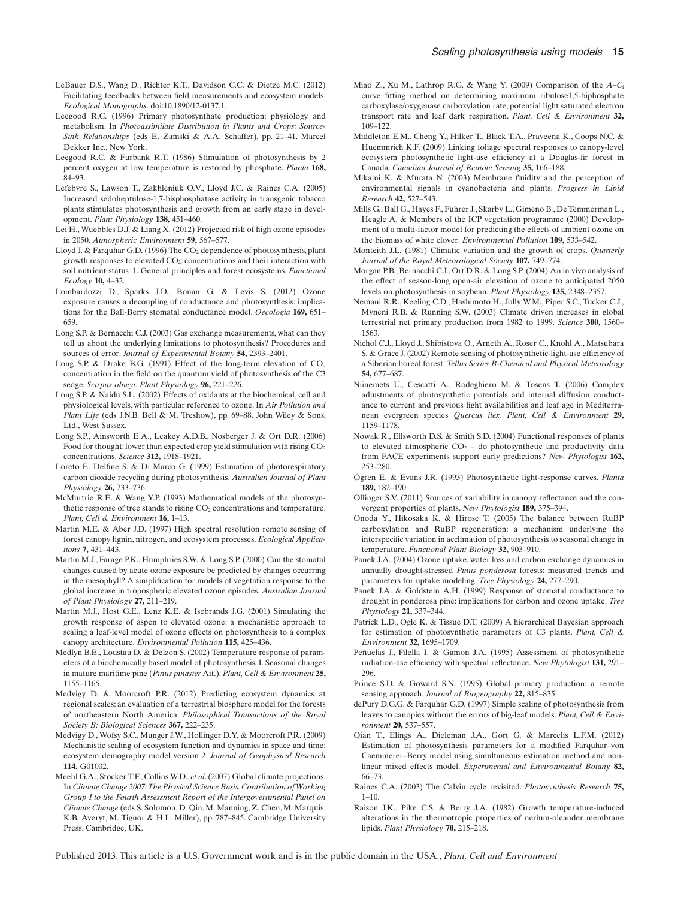- LeBauer D.S., Wang D., Richter K.T., Davidson C.C. & Dietze M.C. (2012) Facilitating feedbacks between field measurements and ecosystem models. *Ecological Monographs*. doi:10.1890/12-0137.1.
- Leegood R.C. (1996) Primary photosynthate production: physiology and metabolism. In *Photoassimilate Distribution in Plants and Crops: Source-Sink Relationships* (eds E. Zamski & A.A. Schaffer), pp. 21–41. Marcel Dekker Inc., New York.
- Leegood R.C. & Furbank R.T. (1986) Stimulation of photosynthesis by 2 percent oxygen at low temperature is restored by phosphate. *Planta* **168,** 84–93.
- Lefebvre S., Lawson T., Zakhleniuk O.V., Lloyd J.C. & Raines C.A. (2005) Increased sedoheptulose-1,7-bisphosphatase activity in transgenic tobacco plants stimulates photosynthesis and growth from an early stage in development. *Plant Physiology* **138,** 451–460.
- Lei H., Wuebbles D.J. & Liang X. (2012) Projected risk of high ozone episodes in 2050. *Atmospheric Environment* **59,** 567–577.
- Lloyd J. & Farquhar G.D. (1996) The CO<sub>2</sub> dependence of photosynthesis, plant growth responses to elevated CO2: concentrations and their interaction with soil nutrient status. 1. General principles and forest ecosystems. *Functional Ecology* **10,** 4–32.
- Lombardozzi D., Sparks J.D., Bonan G. & Levis S. (2012) Ozone exposure causes a decoupling of conductance and photosynthesis: implications for the Ball-Berry stomatal conductance model. *Oecologia* **169,** 651– 659.
- Long S.P. & Bernacchi C.J. (2003) Gas exchange measurements, what can they tell us about the underlying limitations to photosynthesis? Procedures and sources of error. *Journal of Experimental Botany* **54,** 2393–2401.
- Long S.P. & Drake B.G. (1991) Effect of the long-term elevation of  $CO<sub>2</sub>$ concentration in the field on the quantum yield of photosynthesis of the C3 sedge, *Scirpus olneyi*. *Plant Physiology* **96,** 221–226.
- Long S.P. & Naidu S.L. (2002) Effects of oxidants at the biochemical, cell and physiological levels, with particular reference to ozone. In *Air Pollution and Plant Life* (eds J.N.B. Bell & M. Treshow), pp. 69–88. John Wiley & Sons, Ltd., West Sussex.
- Long S.P., Ainsworth E.A., Leakey A.D.B., Nosberger J. & Ort D.R. (2006) Food for thought: lower than expected crop yield stimulation with rising  $CO<sub>2</sub>$ concentrations. *Science* **312,** 1918–1921.
- Loreto F., Delfine S. & Di Marco G. (1999) Estimation of photorespiratory carbon dioxide recycling during photosynthesis. *Australian Journal of Plant Physiology* **26,** 733–736.
- McMurtrie R.E. & Wang Y.P. (1993) Mathematical models of the photosynthetic response of tree stands to rising  $CO<sub>2</sub>$  concentrations and temperature. *Plant, Cell & Environment* **16,** 1–13.
- Martin M.E. & Aber J.D. (1997) High spectral resolution remote sensing of forest canopy lignin, nitrogen, and ecosystem processes. *Ecological Applications* **7,** 431–443.
- Martin M.J., Farage P.K., Humphries S.W. & Long S.P. (2000) Can the stomatal changes caused by acute ozone exposure be predicted by changes occurring in the mesophyll? A simplification for models of vegetation response to the global increase in tropospheric elevated ozone episodes. *Australian Journal of Plant Physiology* **27,** 211–219.
- Martin M.J., Host G.E., Lenz K.E. & Isebrands J.G. (2001) Simulating the growth response of aspen to elevated ozone: a mechanistic approach to scaling a leaf-level model of ozone effects on photosynthesis to a complex canopy architecture. *Environmental Pollution* **115,** 425–436.
- Medlyn B.E., Loustau D. & Delzon S. (2002) Temperature response of parameters of a biochemically based model of photosynthesis. I. Seasonal changes in mature maritime pine (*Pinus pinaster* Ait.). *Plant, Cell & Environment* **25,** 1155–1165.
- Medvigy D. & Moorcroft P.R. (2012) Predicting ecosystem dynamics at regional scales: an evaluation of a terrestrial biosphere model for the forests of northeastern North America. *Philosophical Transactions of the Royal Society B: Biological Sciences* **367,** 222–235.
- Medvigy D., Wofsy S.C., Munger J.W., Hollinger D.Y. & Moorcroft P.R. (2009) Mechanistic scaling of ecosystem function and dynamics in space and time: ecosystem demography model version 2. *Journal of Geophysical Research* **114,** G01002.
- Meehl G.A., Stocker T.F., Collins W.D., *et al*. (2007) Global climate projections. In *Climate Change 2007:The Physical Science Basis. Contribution ofWorking Group I to the Fourth Assessment Report of the Intergovernmental Panel on Climate Change* (eds S. Solomon, D. Qin, M. Manning, Z. Chen, M. Marquis, K.B. Averyt, M. Tignor & H.L. Miller), pp. 787–845. Cambridge University Press, Cambridge, UK.
- Miao Z., Xu M., Lathrop R.G. & Wang Y. (2009) Comparison of the *A*–*C*<sup>i</sup> curve fitting method on determining maximum ribulose1,5-biphosphate carboxylase/oxygenase carboxylation rate, potential light saturated electron transport rate and leaf dark respiration. *Plant, Cell & Environment* **32,** 109–122.
- Middleton E.M., Cheng Y., Hilker T., Black T.A., Praveena K., Coops N.C. & Huemmrich K.F. (2009) Linking foliage spectral responses to canopy-level ecosystem photosynthetic light-use efficiency at a Douglas-fir forest in Canada. *Canadian Journal of Remote Sensing* **35,** 166–188.
- Mikami K. & Murata N. (2003) Membrane fluidity and the perception of environmental signals in cyanobacteria and plants. *Progress in Lipid Research* **42,** 527–543.
- Mills G., Ball G., Hayes F., Fuhrer J., Skarby L., Gimeno B., De Temmerman L., Heagle A. & Members of the ICP vegetation programme (2000) Development of a multi-factor model for predicting the effects of ambient ozone on the biomass of white clover. *Environmental Pollution* **109,** 533–542.
- Monteith J.L. (1981) Climatic variation and the growth of crops. *Quarterly Journal of the Royal Meteorological Society* **107,** 749–774.
- Morgan P.B., Bernacchi C.J., Ort D.R. & Long S.P. (2004) An in vivo analysis of the effect of season-long open-air elevation of ozone to anticipated 2050 levels on photosynthesis in soybean. *Plant Physiology* **135,** 2348–2357.
- Nemani R.R., Keeling C.D., Hashimoto H., Jolly W.M., Piper S.C., Tucker C.J., Myneni R.B. & Running S.W. (2003) Climate driven increases in global terrestrial net primary production from 1982 to 1999. *Science* **300,** 1560– 1563.
- Nichol C.J., Lloyd J., Shibistova O., Arneth A., Roser C., Knohl A., Matsubara S. & Grace J. (2002) Remote sensing of photosynthetic-light-use efficiency of a Siberian boreal forest. *Tellus Series B-Chemical and Physical Meteorology* **54,** 677–687.
- Niinemets U., Cescatti A., Rodeghiero M. & Tosens T. (2006) Complex adjustments of photosynthetic potentials and internal diffusion conductance to current and previous light availabilities and leaf age in Mediterranean evergreen species *Quercus ilex*. *Plant, Cell & Environment* **29,** 1159–1178.
- Nowak R., Ellsworth D.S. & Smith S.D. (2004) Functional responses of plants to elevated atmospheric  $CO<sub>2</sub> -$  do photosynthetic and productivity data from FACE experiments support early predictions? *New Phytologist* **162,** 253–280.
- Ögren E. & Evans J.R. (1993) Photosynthetic light-response curves. *Planta* **189,** 182–190.
- Ollinger S.V. (2011) Sources of variability in canopy reflectance and the convergent properties of plants. *New Phytologist* **189,** 375–394.
- Onoda Y., Hikosaka K. & Hirose T. (2005) The balance between RuBP carboxylation and RuBP regeneration: a mechanism underlying the interspecific variation in acclimation of photosynthesis to seasonal change in temperature. *Functional Plant Biology* **32,** 903–910.
- Panek J.A. (2004) Ozone uptake, water loss and carbon exchange dynamics in annually drought-stressed *Pinus ponderosa* forests: measured trends and parameters for uptake modeling. *Tree Physiology* **24,** 277–290.
- Panek J.A. & Goldstein A.H. (1999) Response of stomatal conductance to drought in ponderosa pine: implications for carbon and ozone uptake. *Tree Physiology* **21,** 337–344.
- Patrick L.D., Ogle K. & Tissue D.T. (2009) A hierarchical Bayesian approach for estimation of photosynthetic parameters of C3 plants. *Plant, Cell & Environment* **32,** 1695–1709.
- Peñuelas J., Filella I. & Gamon J.A. (1995) Assessment of photosynthetic radiation-use efficiency with spectral reflectance. *New Phytologist* **131,** 291– 296.
- Prince S.D. & Goward S.N. (1995) Global primary production: a remote sensing approach. *Journal of Biogeography* **22,** 815–835.
- dePury D.G.G. & Farquhar G.D. (1997) Simple scaling of photosynthesis from leaves to canopies without the errors of big-leaf models. *Plant, Cell & Environment* **20,** 537–557.
- Qian T., Elings A., Dieleman J.A., Gort G. & Marcelis L.F.M. (2012) Estimation of photosynthesis parameters for a modified Farquhar–von Caemmerer–Berry model using simultaneous estimation method and nonlinear mixed effects model. *Experimental and Environmental Botany* **82,** 66–73.
- Raines C.A. (2003) The Calvin cycle revisited. *Photosynthesis Research* **75,** 1–10.
- Raison J.K., Pike C.S. & Berry J.A. (1982) Growth temperature-induced alterations in the thermotropic properties of nerium-oleander membrane lipids. *Plant Physiology* **70,** 215–218.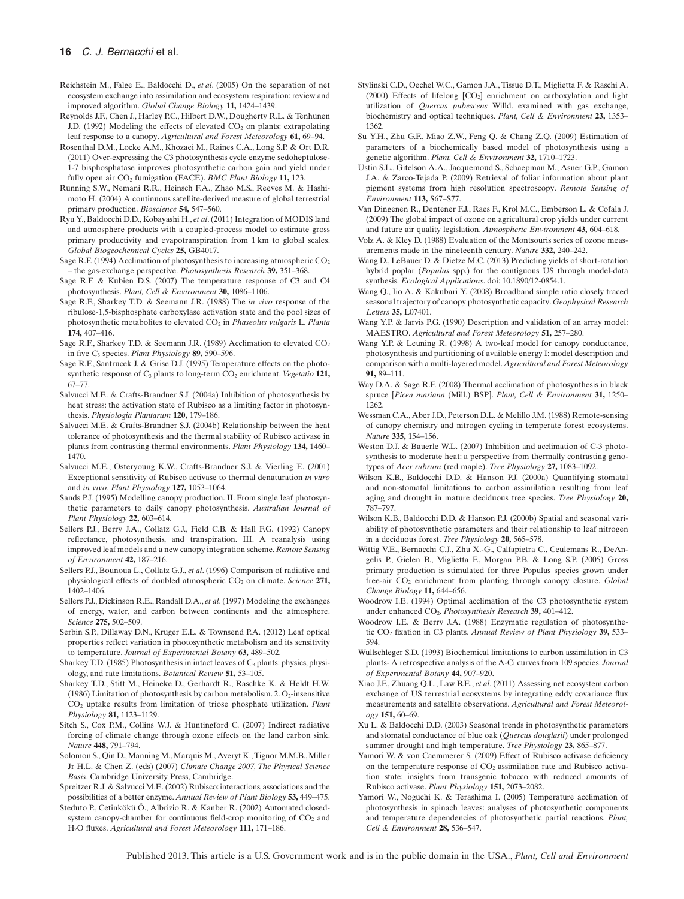- Reichstein M., Falge E., Baldocchi D., *et al*. (2005) On the separation of net ecosystem exchange into assimilation and ecosystem respiration: review and improved algorithm. *Global Change Biology* **11,** 1424–1439.
- Reynolds J.F., Chen J., Harley P.C., Hilbert D.W., Dougherty R.L. & Tenhunen J.D. (1992) Modeling the effects of elevated  $CO<sub>2</sub>$  on plants: extrapolating leaf response to a canopy. *Agricultural and Forest Meteorology* **61,** 69–94.
- Rosenthal D.M., Locke A.M., Khozaei M., Raines C.A., Long S.P. & Ort D.R. (2011) Over-expressing the C3 photosynthesis cycle enzyme sedoheptulose-1-7 bisphosphatase improves photosynthetic carbon gain and yield under fully open air CO<sub>2</sub> fumigation (FACE). *BMC Plant Biology* 11, 123.
- Running S.W., Nemani R.R., Heinsch F.A., Zhao M.S., Reeves M. & Hashimoto H. (2004) A continuous satellite-derived measure of global terrestrial primary production. *Bioscience* **54,** 547–560.
- Ryu Y., Baldocchi D.D., Kobayashi H., *et al*. (2011) Integration of MODIS land and atmosphere products with a coupled-process model to estimate gross primary productivity and evapotranspiration from 1 km to global scales. *Global Biogeochemical Cycles* **25,** GB4017.
- Sage R.F. (1994) Acclimation of photosynthesis to increasing atmospheric  $CO<sub>2</sub>$ – the gas-exchange perspective. *Photosynthesis Research* **39,** 351–368.
- Sage R.F. & Kubien D.S. (2007) The temperature response of C3 and C4 photosynthesis. *Plant, Cell & Environment* **30,** 1086–1106.
- Sage R.F., Sharkey T.D. & Seemann J.R. (1988) The *in vivo* response of the ribulose-1,5-bisphosphate carboxylase activation state and the pool sizes of photosynthetic metabolites to elevated CO2 in *Phaseolus vulgaris* L. *Planta* **174,** 407–416.
- Sage R.F., Sharkey T.D. & Seemann J.R. (1989) Acclimation to elevated CO<sub>2</sub> in five C3 species. *Plant Physiology* **89,** 590–596.
- Sage R.F., Santrucek J. & Grise D.J. (1995) Temperature effects on the photosynthetic response of C<sub>3</sub> plants to long-term CO<sub>2</sub> enrichment. *Vegetatio* 121, 67–77.
- Salvucci M.E. & Crafts-Brandner S.J. (2004a) Inhibition of photosynthesis by heat stress: the activation state of Rubisco as a limiting factor in photosynthesis. *Physiologia Plantarum* **120,** 179–186.
- Salvucci M.E. & Crafts-Brandner S.J. (2004b) Relationship between the heat tolerance of photosynthesis and the thermal stability of Rubisco activase in plants from contrasting thermal environments. *Plant Physiology* **134,** 1460– 1470.
- Salvucci M.E., Osteryoung K.W., Crafts-Brandner S.J. & Vierling E. (2001) Exceptional sensitivity of Rubisco activase to thermal denaturation *in vitro* and *in vivo*. *Plant Physiology* **127,** 1053–1064.
- Sands P.J. (1995) Modelling canopy production. II. From single leaf photosynthetic parameters to daily canopy photosynthesis. *Australian Journal of Plant Physiology* **22,** 603–614.
- Sellers P.J., Berry J.A., Collatz G.J., Field C.B. & Hall F.G. (1992) Canopy reflectance, photosynthesis, and transpiration. III. A reanalysis using improved leaf models and a new canopy integration scheme. *Remote Sensing of Environment* **42,** 187–216.
- Sellers P.J., Bounoua L., Collatz G.J., *et al*. (1996) Comparison of radiative and physiological effects of doubled atmospheric CO<sub>2</sub> on climate. *Science* 271, 1402–1406.
- Sellers P.J., Dickinson R.E., Randall D.A., *et al*. (1997) Modeling the exchanges of energy, water, and carbon between continents and the atmosphere. *Science* **275,** 502–509.
- Serbin S.P., Dillaway D.N., Kruger E.L. & Townsend P.A. (2012) Leaf optical properties reflect variation in photosynthetic metabolism and its sensitivity to temperature. *Journal of Experimental Botany* **63,** 489–502.
- Sharkey T.D. (1985) Photosynthesis in intact leaves of  $C_3$  plants: physics, physiology, and rate limitations. *Botanical Review* **51,** 53–105.
- Sharkey T.D., Stitt M., Heineke D., Gerhardt R., Raschke K. & Heldt H.W. (1986) Limitation of photosynthesis by carbon metabolism. 2.  $O_2$ -insensitive CO2 uptake results from limitation of triose phosphate utilization. *Plant Physiology* **81,** 1123–1129.
- Sitch S., Cox P.M., Collins W.J. & Huntingford C. (2007) Indirect radiative forcing of climate change through ozone effects on the land carbon sink. *Nature* **448,** 791–794.
- Solomon S., Qin D., Manning M., Marquis M., Averyt K., Tignor M.M.B., Miller Jr H.L. & Chen Z. (eds) (2007) *Climate Change 2007, The Physical Science Basis*. Cambridge University Press, Cambridge.
- Spreitzer R.J. & Salvucci M.E. (2002) Rubisco: interactions, associations and the possibilities of a better enzyme. *Annual Review of Plant Biology* **53,** 449–475.
- Steduto P., Cetinkökü Ö., Albrizio R. & Kanber R. (2002) Automated closedsystem canopy-chamber for continuous field-crop monitoring of CO<sub>2</sub> and H2O fluxes. *Agricultural and Forest Meteorology* **111,** 171–186.
- Stylinski C.D., Oechel W.C., Gamon J.A., Tissue D.T., Miglietta F. & Raschi A. (2000) Effects of lifelong  $[CO<sub>2</sub>]$  enrichment on carboxylation and light utilization of *Quercus pubescens* Willd. examined with gas exchange, biochemistry and optical techniques. *Plant, Cell & Environment* **23,** 1353– 1362.
- Su Y.H., Zhu G.F., Miao Z.W., Feng Q. & Chang Z.Q. (2009) Estimation of parameters of a biochemically based model of photosynthesis using a genetic algorithm. *Plant, Cell & Environment* **32,** 1710–1723.
- Ustin S.L., Gitelson A.A., Jacquemoud S., Schaepman M., Asner G.P., Gamon J.A. & Zarco-Tejada P. (2009) Retrieval of foliar information about plant pigment systems from high resolution spectroscopy. *Remote Sensing of Environment* **113,** S67–S77.
- Van Dingenen R., Dentener F.J., Raes F., Krol M.C., Emberson L. & Cofala J. (2009) The global impact of ozone on agricultural crop yields under current and future air quality legislation. *Atmospheric Environment* **43,** 604–618.
- Volz A. & Kley D. (1988) Evaluation of the Montsouris series of ozone measurements made in the nineteenth century. *Nature* **332,** 240–242.
- Wang D., LeBauer D. & Dietze M.C. (2013) Predicting yields of short-rotation hybrid poplar (*Populus* spp.) for the contiguous US through model-data synthesis. *Ecological Applications*. doi: 10.1890/12-0854.1.
- Wang Q., Iio A. & Kakubari Y. (2008) Broadband simple ratio closely traced seasonal trajectory of canopy photosynthetic capacity. *Geophysical Research Letters* **35,** L07401.
- Wang Y.P. & Jarvis P.G. (1990) Description and validation of an array model: MAESTRO. *Agricultural and Forest Meteorology* **51,** 257–280.
- Wang Y.P. & Leuning R. (1998) A two-leaf model for canopy conductance, photosynthesis and partitioning of available energy I: model description and comparison with a multi-layered model.*Agricultural and Forest Meteorology* **91,** 89–111.
- Way D.A. & Sage R.F. (2008) Thermal acclimation of photosynthesis in black spruce [*Picea mariana* (Mill.) BSP]. *Plant, Cell & Environment* **31,** 1250– 1262.
- Wessman C.A., Aber J.D., Peterson D.L. & Melillo J.M. (1988) Remote-sensing of canopy chemistry and nitrogen cycling in temperate forest ecosystems. *Nature* **335,** 154–156.
- Weston D.J. & Bauerle W.L. (2007) Inhibition and acclimation of C-3 photosynthesis to moderate heat: a perspective from thermally contrasting genotypes of *Acer rubrum* (red maple). *Tree Physiology* **27,** 1083–1092.
- Wilson K.B., Baldocchi D.D. & Hanson P.J. (2000a) Quantifying stomatal and non-stomatal limitations to carbon assimilation resulting from leaf aging and drought in mature deciduous tree species. *Tree Physiology* **20,** 787–797.
- Wilson K.B., Baldocchi D.D. & Hanson P.J. (2000b) Spatial and seasonal variability of photosynthetic parameters and their relationship to leaf nitrogen in a deciduous forest. *Tree Physiology* **20,** 565–578.
- Wittig V.E., Bernacchi C.J., Zhu X.-G., Calfapietra C., Ceulemans R., DeAngelis P., Gielen B., Miglietta F., Morgan P.B. & Long S.P. (2005) Gross primary production is stimulated for three Populus species grown under free-air CO2 enrichment from planting through canopy closure. *Global Change Biology* **11,** 644–656.
- Woodrow I.E. (1994) Optimal acclimation of the C3 photosynthetic system under enhanced CO2. *Photosynthesis Research* **39,** 401–412.
- Woodrow I.E. & Berry J.A. (1988) Enzymatic regulation of photosynthetic CO2 fixation in C3 plants. *Annual Review of Plant Physiology* **39,** 533– 594.
- Wullschleger S.D. (1993) Biochemical limitations to carbon assimilation in C3 plants- A retrospective analysis of the A-Ci curves from 109 species. *Journal of Experimental Botany* **44,** 907–920.
- Xiao J.F., Zhuang Q.L., Law B.E., *et al*. (2011) Assessing net ecosystem carbon exchange of US terrestrial ecosystems by integrating eddy covariance flux measurements and satellite observations. *Agricultural and Forest Meteorology* **151,** 60–69.
- Xu L. & Baldocchi D.D. (2003) Seasonal trends in photosynthetic parameters and stomatal conductance of blue oak (*Quercus douglasii*) under prolonged summer drought and high temperature. *Tree Physiology* **23,** 865–877.
- Yamori W. & von Caemmerer S. (2009) Effect of Rubisco activase deficiency on the temperature response of CO<sub>2</sub> assimilation rate and Rubisco activation state: insights from transgenic tobacco with reduced amounts of Rubisco activase. *Plant Physiology* **151,** 2073–2082.
- Yamori W., Noguchi K. & Terashima I. (2005) Temperature acclimation of photosynthesis in spinach leaves: analyses of photosynthetic components and temperature dependencies of photosynthetic partial reactions. *Plant, Cell & Environment* **28,** 536–547.